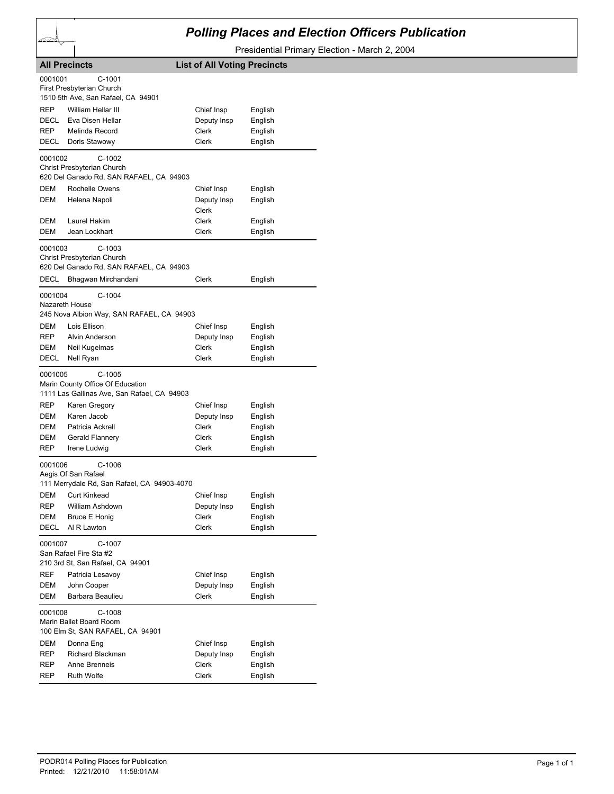## *Polling Places and Election Officers Publication*

Presidential Primary Election - March 2, 2004

|                                            | <b>All Precincts</b>                                                                                                                                                               | <b>List of All Voting Precincts</b>                  |                                                     |
|--------------------------------------------|------------------------------------------------------------------------------------------------------------------------------------------------------------------------------------|------------------------------------------------------|-----------------------------------------------------|
| 0001001                                    | C-1001<br>First Presbyterian Church<br>1510 5th Ave, San Rafael, CA 94901                                                                                                          |                                                      |                                                     |
| <b>REP</b>                                 | William Hellar III                                                                                                                                                                 | Chief Insp                                           | English                                             |
| DECL                                       | Eva Disen Hellar                                                                                                                                                                   | Deputy Insp                                          | English                                             |
| <b>REP</b>                                 | Melinda Record                                                                                                                                                                     | Clerk                                                | English                                             |
| DECL                                       | Doris Stawowy                                                                                                                                                                      | <b>Clerk</b>                                         | English                                             |
| 0001002                                    | $C-1002$<br>Christ Presbyterian Church<br>620 Del Ganado Rd, SAN RAFAEL, CA 94903                                                                                                  |                                                      |                                                     |
| DEM                                        | Rochelle Owens                                                                                                                                                                     | Chief Insp                                           | English                                             |
| DEM                                        | Helena Napoli                                                                                                                                                                      | Deputy Insp<br>Clerk                                 | English                                             |
| DEM                                        | Laurel Hakim                                                                                                                                                                       | Clerk                                                | English                                             |
| DEM                                        | Jean Lockhart                                                                                                                                                                      | Clerk                                                | English                                             |
| 0001003<br>DECL                            | $C-1003$<br>Christ Presbyterian Church<br>620 Del Ganado Rd, SAN RAFAEL, CA 94903<br>Bhagwan Mirchandani                                                                           | Clerk                                                | English                                             |
|                                            |                                                                                                                                                                                    |                                                      |                                                     |
| 0001004                                    | $C-1004$<br>Nazareth House<br>245 Nova Albion Way, SAN RAFAEL, CA 94903                                                                                                            |                                                      |                                                     |
| DEM                                        | Lois Ellison                                                                                                                                                                       | Chief Insp                                           | English                                             |
| REP                                        | Alvin Anderson                                                                                                                                                                     | Deputy Insp                                          | English                                             |
| DEM                                        | Neil Kugelmas                                                                                                                                                                      | Clerk                                                | English                                             |
| DECL                                       | Nell Ryan                                                                                                                                                                          | Clerk                                                | English                                             |
| 0001005<br>REP<br>DEM<br>DEM<br>DEM<br>REP | $C-1005$<br>Marin County Office Of Education<br>1111 Las Gallinas Ave, San Rafael, CA 94903<br>Karen Gregory<br>Karen Jacob<br>Patricia Ackrell<br>Gerald Flannery<br>Irene Ludwig | Chief Insp<br>Deputy Insp<br>Clerk<br>Clerk<br>Clerk | English<br>English<br>English<br>English<br>English |
| 0001006                                    | $C-1006$                                                                                                                                                                           |                                                      |                                                     |
|                                            | Aegis Of San Rafael<br>111 Merrydale Rd, San Rafael, CA 94903-4070                                                                                                                 |                                                      |                                                     |
| DEM                                        | <b>Curt Kinkead</b>                                                                                                                                                                | Chief Insp                                           | English                                             |
| REP                                        | William Ashdown                                                                                                                                                                    | Deputy Insp                                          | English                                             |
| DEM                                        | <b>Bruce E Honig</b>                                                                                                                                                               | Clerk                                                | English                                             |
| DECL                                       | Al R Lawton                                                                                                                                                                        | Clerk                                                | English                                             |
| 0001007                                    | C-1007<br>San Rafael Fire Sta #2<br>210 3rd St, San Rafael, CA 94901                                                                                                               |                                                      |                                                     |
| REF                                        | Patricia Lesavoy                                                                                                                                                                   | Chief Insp                                           | English                                             |
| DEM                                        | John Cooper                                                                                                                                                                        | Deputy Insp                                          | English                                             |
| DEM                                        | Barbara Beaulieu                                                                                                                                                                   | Clerk                                                | English                                             |
| 0001008                                    | C-1008<br>Marin Ballet Board Room<br>100 Elm St, SAN RAFAEL, CA 94901                                                                                                              |                                                      |                                                     |
| DEM                                        | Donna Eng                                                                                                                                                                          | Chief Insp                                           | English                                             |
| REP                                        | Richard Blackman                                                                                                                                                                   | Deputy Insp                                          | English                                             |
| REP                                        | Anne Brenneis                                                                                                                                                                      | Clerk                                                | English                                             |
| REP                                        | <b>Ruth Wolfe</b>                                                                                                                                                                  | Clerk                                                | English                                             |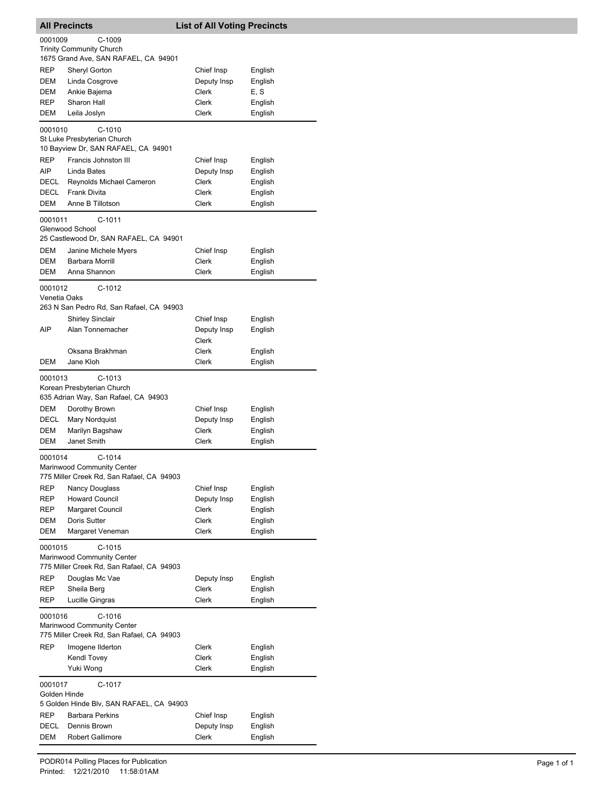|                         | <b>All Precincts</b>                                                                | <b>List of All Voting Precincts</b> |                    |
|-------------------------|-------------------------------------------------------------------------------------|-------------------------------------|--------------------|
| 0001009                 | $C-1009$                                                                            |                                     |                    |
|                         | <b>Trinity Community Church</b>                                                     |                                     |                    |
|                         | 1675 Grand Ave, SAN RAFAEL, CA 94901                                                |                                     |                    |
| REP                     | Sheryl Gorton                                                                       | Chief Insp                          | English            |
| DEM                     | Linda Cosgrove                                                                      | Deputy Insp                         | English            |
| DEM                     | Ankie Bajema                                                                        | Clerk                               | E, S               |
| <b>REP</b>              | Sharon Hall                                                                         | Clerk                               | English            |
| DEM                     | Leila Joslyn                                                                        | Clerk                               | English            |
| 0001010                 | $C-1010$                                                                            |                                     |                    |
|                         | St Luke Presbyterian Church                                                         |                                     |                    |
|                         | 10 Bayview Dr, SAN RAFAEL, CA 94901                                                 |                                     |                    |
| REP                     | Francis Johnston III                                                                | Chief Insp                          | English            |
| AIP                     | Linda Bates                                                                         | Deputy Insp                         | English            |
| DECL                    | Reynolds Michael Cameron                                                            | Clerk                               | English            |
| DECL                    | <b>Frank Divita</b>                                                                 | Clerk                               | English            |
| DEM                     | Anne B Tillotson                                                                    | Clerk                               | English            |
| 0001011                 | C-1011                                                                              |                                     |                    |
|                         | Glenwood School                                                                     |                                     |                    |
|                         | 25 Castlewood Dr, SAN RAFAEL, CA 94901                                              |                                     |                    |
| DEM                     | Janine Michele Myers                                                                | Chief Insp                          | English            |
| DEM                     | <b>Barbara Morrill</b>                                                              | Clerk                               | English            |
| DEM                     | Anna Shannon                                                                        | Clerk                               | English            |
| 0001012                 | $C-1012$                                                                            |                                     |                    |
| Venetia Oaks            |                                                                                     |                                     |                    |
|                         | 263 N San Pedro Rd, San Rafael, CA 94903                                            |                                     |                    |
|                         | <b>Shirley Sinclair</b>                                                             | Chief Insp                          | English            |
| AIP                     | Alan Tonnemacher                                                                    | Deputy Insp                         | English            |
|                         |                                                                                     | Clerk                               |                    |
| DEM                     | Oksana Brakhman<br>Jane Kloh                                                        | Clerk<br>Clerk                      | English<br>English |
|                         |                                                                                     |                                     |                    |
| 0001013                 | $C-1013$<br>Korean Presbyterian Church<br>635 Adrian Way, San Rafael, CA 94903      |                                     |                    |
| <b>DEM</b>              | Dorothy Brown                                                                       | Chief Insp                          | English            |
| DECL                    | <b>Mary Nordquist</b>                                                               | Deputy Insp                         | English            |
| DEM                     | Marilyn Bagshaw                                                                     | Clerk                               | English            |
| DEM                     | Janet Smith                                                                         | Clerk                               | English            |
| 0001014                 | $C-1014$<br>Marinwood Community Center<br>775 Miller Creek Rd, San Rafael, CA 94903 |                                     |                    |
| REP                     | <b>Nancy Douglass</b>                                                               | Chief Insp                          | English            |
| REP                     | <b>Howard Council</b>                                                               | Deputy Insp                         | English            |
| REP                     | Margaret Council                                                                    | Clerk                               | English            |
| DEM<br>DEM              | Doris Sutter                                                                        | Clerk<br>Clerk                      | English<br>English |
|                         | Margaret Veneman                                                                    |                                     |                    |
| 0001015                 | $C-1015$<br>Marinwood Community Center<br>775 Miller Creek Rd, San Rafael, CA 94903 |                                     |                    |
| REP                     | Douglas Mc Vae                                                                      | Deputy Insp                         | English            |
| REP                     | Sheila Berg                                                                         | Clerk                               | English            |
| REP                     | Lucille Gingras                                                                     | Clerk                               | English            |
| 0001016                 | $C-1016$<br>Marinwood Community Center<br>775 Miller Creek Rd, San Rafael, CA 94903 |                                     |                    |
| REP                     | Imogene Ilderton                                                                    | Clerk                               | English            |
|                         | Kendl Tovey                                                                         | Clerk                               | English            |
|                         | Yuki Wong                                                                           | Clerk                               | English            |
| 0001017<br>Golden Hinde | C-1017<br>5 Golden Hinde Blv, SAN RAFAEL, CA 94903                                  |                                     |                    |
| REP                     | <b>Barbara Perkins</b>                                                              | Chief Insp                          | English            |
| DECL                    | Dennis Brown                                                                        | Deputy Insp                         | English            |
| DEM                     | <b>Robert Gallimore</b>                                                             | Clerk                               | English            |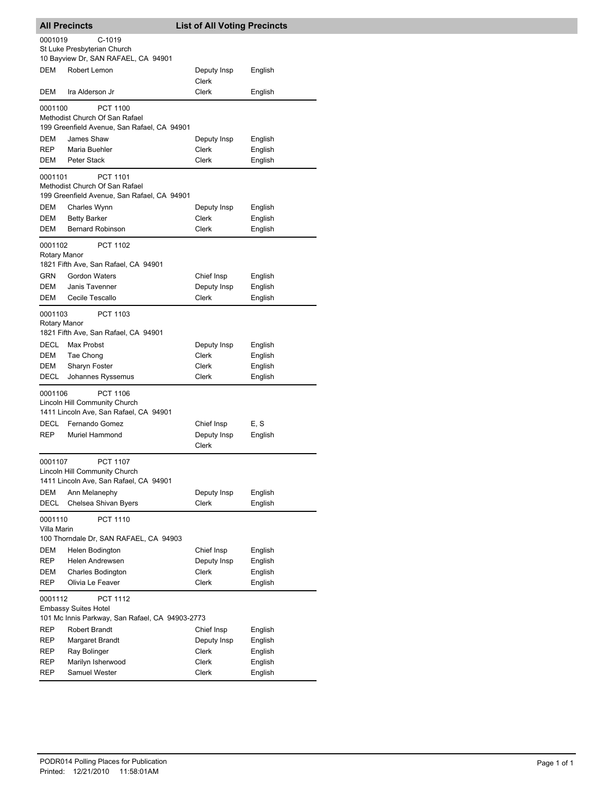| <b>All Precincts</b>       |                                                                                                   | <b>List of All Voting Precincts</b>    |                                          |
|----------------------------|---------------------------------------------------------------------------------------------------|----------------------------------------|------------------------------------------|
| 0001019                    | C-1019<br>St Luke Presbyterian Church<br>10 Bayview Dr, SAN RAFAEL, CA 94901                      |                                        |                                          |
| <b>DEM</b>                 | Robert Lemon                                                                                      | Deputy Insp<br>Clerk                   | English                                  |
| DEM                        | Ira Alderson Jr                                                                                   | Clerk                                  | English                                  |
| 0001100                    | <b>PCT 1100</b><br>Methodist Church Of San Rafael<br>199 Greenfield Avenue, San Rafael, CA 94901  |                                        |                                          |
| DEM<br>REP<br>DEM          | James Shaw<br>Maria Buehler<br>Peter Stack                                                        | Deputy Insp<br>Clerk<br>Clerk          | English<br>English<br>English            |
| 0001101                    | PCT 1101<br>Methodist Church Of San Rafael<br>199 Greenfield Avenue, San Rafael, CA 94901         |                                        |                                          |
| DEM<br>DEM<br><b>DEM</b>   | Charles Wynn<br><b>Betty Barker</b><br><b>Bernard Robinson</b>                                    | Deputy Insp<br>Clerk<br>Clerk          | English<br>English<br>English            |
| 0001102<br>Rotary Manor    | <b>PCT 1102</b><br>1821 Fifth Ave, San Rafael, CA 94901                                           |                                        |                                          |
| <b>GRN</b><br>DEM<br>DEM   | <b>Gordon Waters</b><br>Janis Tavenner<br>Cecile Tescallo                                         | Chief Insp<br>Deputy Insp<br>Clerk     | English<br>English<br>English            |
| 0001103<br>Rotary Manor    | PCT 1103<br>1821 Fifth Ave, San Rafael, CA 94901                                                  |                                        |                                          |
| DECL<br>DEM<br>DEM<br>DECL | Max Probst<br>Tae Chong<br>Sharyn Foster<br>Johannes Ryssemus                                     | Deputy Insp<br>Clerk<br>Clerk<br>Clerk | English<br>English<br>English<br>English |
| 0001106                    | <b>PCT 1106</b><br>Lincoln Hill Community Church<br>1411 Lincoln Ave, San Rafael, CA 94901        |                                        |                                          |
| DECL<br>REP                | Fernando Gomez<br><b>Muriel Hammond</b>                                                           | Chief Insp<br>Deputy Insp<br>Clerk     | E, S<br>English                          |
| 0001107                    | PCT 1107<br>Lincoln Hill Community Church<br>1411 Lincoln Ave, San Rafael, CA 94901               |                                        |                                          |
| DEM<br>DECL                | Ann Melanephy<br>Chelsea Shivan Byers                                                             | Deputy Insp<br>Clerk                   | English<br>English                       |
| 0001110<br>Villa Marin     | PCT 1110<br>100 Thorndale Dr, SAN RAFAEL, CA 94903                                                |                                        |                                          |
| DEM<br>REP<br>DEM          | Helen Bodington<br>Helen Andrewsen<br><b>Charles Bodington</b>                                    | Chief Insp<br>Deputy Insp<br>Clerk     | English<br>English<br>English            |
| REP                        | Olivia Le Feaver                                                                                  | Clerk                                  | English                                  |
| 0001112                    | <b>PCT 1112</b><br><b>Embassy Suites Hotel</b><br>101 Mc Innis Parkway, San Rafael, CA 94903-2773 |                                        |                                          |
| REP<br>REP<br>REP          | Robert Brandt<br>Margaret Brandt<br>Ray Bolinger                                                  | Chief Insp<br>Deputy Insp<br>Clerk     | English<br>English<br>English            |
| REP<br>REP                 | Marilyn Isherwood<br>Samuel Wester                                                                | Clerk<br>Clerk                         | English<br>English                       |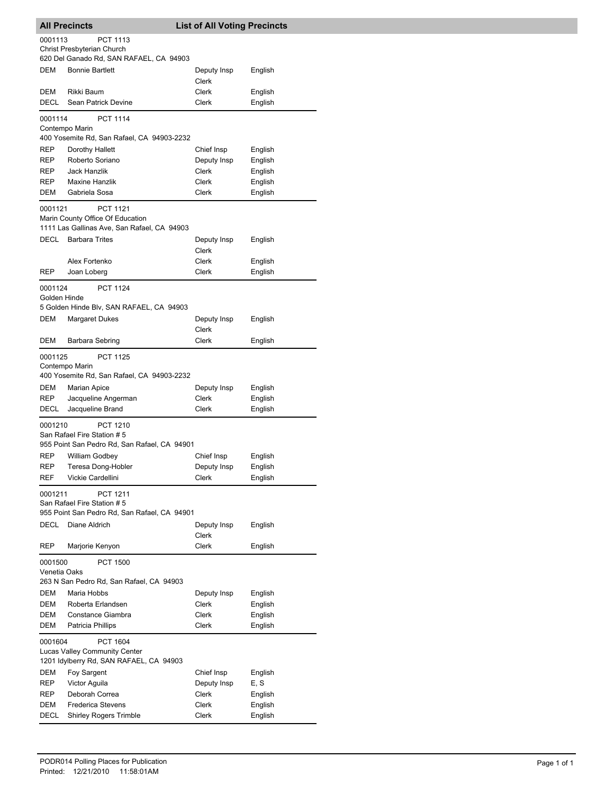|                         | <b>All Precincts</b>                                                                               | <b>List of All Voting Precincts</b> |                    |
|-------------------------|----------------------------------------------------------------------------------------------------|-------------------------------------|--------------------|
| 0001113                 | <b>PCT 1113</b><br>Christ Presbyterian Church<br>620 Del Ganado Rd, SAN RAFAEL, CA 94903           |                                     |                    |
| <b>DEM</b>              | <b>Bonnie Bartlett</b>                                                                             | Deputy Insp<br>Clerk                | English            |
| DEM<br>DECL             | Rikki Baum<br>Sean Patrick Devine                                                                  | Clerk<br>Clerk                      | English<br>English |
| 0001114                 | <b>PCT 1114</b><br>Contempo Marin<br>400 Yosemite Rd, San Rafael, CA 94903-2232                    |                                     |                    |
| REP                     | Dorothy Hallett                                                                                    | Chief Insp                          | English            |
| <b>REP</b>              | Roberto Soriano                                                                                    | Deputy Insp                         | English            |
| REP                     | Jack Hanzlik                                                                                       | Clerk                               | English            |
| REP                     | <b>Maxine Hanzlik</b>                                                                              | Clerk                               | English            |
| DEM                     | Gabriela Sosa                                                                                      | Clerk                               | English            |
| 0001121                 | <b>PCT 1121</b><br>Marin County Office Of Education<br>1111 Las Gallinas Ave, San Rafael, CA 94903 |                                     |                    |
| DECL                    | <b>Barbara Trites</b>                                                                              | Deputy Insp<br>Clerk                | English            |
|                         | Alex Fortenko                                                                                      | Clerk                               | English            |
| REP                     | Joan Loberg                                                                                        | Clerk                               | English            |
| 0001124<br>Golden Hinde | <b>PCT 1124</b><br>5 Golden Hinde Blv, SAN RAFAEL, CA 94903                                        |                                     |                    |
| DEM                     | <b>Margaret Dukes</b>                                                                              | Deputy Insp                         | English            |
|                         |                                                                                                    | Clerk                               |                    |
| DEM                     | Barbara Sebring                                                                                    | Clerk                               | English            |
| 0001125                 | <b>PCT 1125</b>                                                                                    |                                     |                    |
|                         | Contempo Marin<br>400 Yosemite Rd, San Rafael, CA 94903-2232                                       |                                     |                    |
| DEM                     | <b>Marian Apice</b>                                                                                | Deputy Insp                         | English            |
| REP                     | Jacqueline Angerman                                                                                | Clerk                               | English            |
| DECL                    | Jacqueline Brand                                                                                   | Clerk                               | English            |
| 0001210                 | <b>PCT 1210</b><br>San Rafael Fire Station # 5<br>955 Point San Pedro Rd, San Rafael, CA 94901     |                                     |                    |
| REP                     | William Godbey                                                                                     | Chief Insp                          | English            |
| REP                     | Teresa Dong-Hobler                                                                                 | Deputy Insp                         | English            |
| REF                     | Vickie Cardellini                                                                                  | <b>Clerk</b>                        | English            |
| 0001211                 | PCT 1211<br>San Rafael Fire Station # 5<br>955 Point San Pedro Rd, San Rafael, CA 94901            |                                     |                    |
| DECL                    | Diane Aldrich                                                                                      | Deputy Insp                         | English            |
|                         |                                                                                                    | Clerk                               |                    |
| <b>REP</b>              | Marjorie Kenyon                                                                                    | <b>Clerk</b>                        | English            |
| 0001500<br>Venetia Oaks | <b>PCT 1500</b>                                                                                    |                                     |                    |
|                         | 263 N San Pedro Rd, San Rafael, CA 94903                                                           |                                     |                    |
| DEM                     | Maria Hobbs                                                                                        | Deputy Insp                         | English            |
| DEM                     | Roberta Erlandsen                                                                                  | Clerk                               | English            |
| DEM<br>DEM              | Constance Giambra<br>Patricia Phillips                                                             | Clerk<br>Clerk                      | English<br>English |
| 0001604                 | PCT 1604<br>Lucas Valley Community Center                                                          |                                     |                    |
|                         | 1201 Idylberry Rd, SAN RAFAEL, CA 94903                                                            |                                     |                    |
| DEM<br>REP              | Foy Sargent<br>Victor Aguila                                                                       | Chief Insp<br>Deputy Insp           | English<br>E, S    |
| REP                     | Deborah Correa                                                                                     | Clerk                               | English            |
| DEM                     | <b>Frederica Stevens</b>                                                                           | Clerk                               | English            |
| DECL                    | <b>Shirley Rogers Trimble</b>                                                                      | Clerk                               | English            |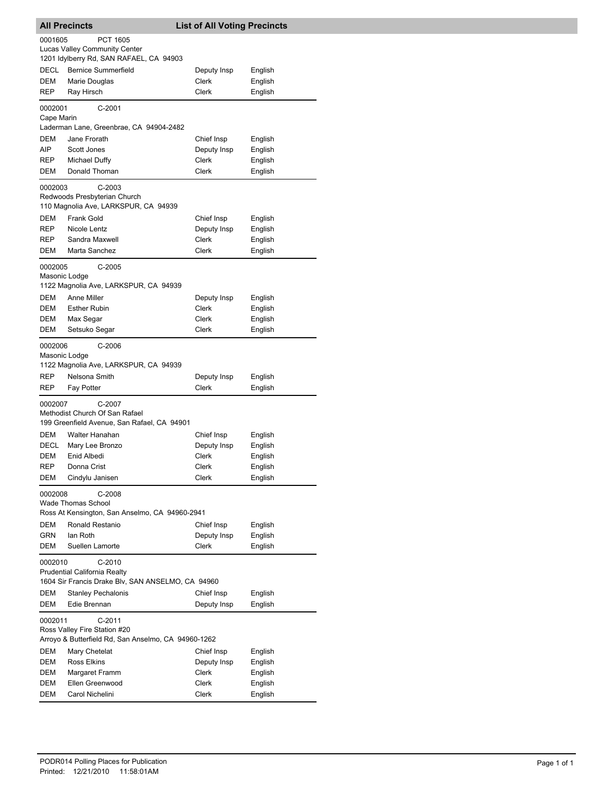| <b>All Precincts</b>                   |                                                                                                    | <b>List of All Voting Precincts</b> |                    |
|----------------------------------------|----------------------------------------------------------------------------------------------------|-------------------------------------|--------------------|
| 0001605                                | PCT 1605                                                                                           |                                     |                    |
|                                        | <b>Lucas Valley Community Center</b>                                                               |                                     |                    |
|                                        | 1201 Idylberry Rd, SAN RAFAEL, CA 94903                                                            |                                     |                    |
| DECL                                   | <b>Bernice Summerfield</b>                                                                         | Deputy Insp                         | English            |
| DEM                                    | Marie Douglas                                                                                      | Clerk                               | English            |
| REP                                    | Ray Hirsch                                                                                         | Clerk                               | English            |
| 0002001<br>Cape Marin                  | $C-2001$                                                                                           |                                     |                    |
|                                        | Laderman Lane, Greenbrae, CA 94904-2482                                                            |                                     |                    |
| DEM                                    | Jane Frorath                                                                                       | Chief Insp                          | English            |
| AIP                                    | Scott Jones                                                                                        | Deputy Insp                         | English            |
| REP                                    | Michael Duffy                                                                                      | Clerk                               | English            |
| DEM                                    | Donald Thoman                                                                                      | Clerk                               | English            |
| 0002003                                | $C-2003$<br>Redwoods Presbyterian Church<br>110 Magnolia Ave, LARKSPUR, CA 94939                   |                                     |                    |
| <b>DEM</b>                             | <b>Frank Gold</b>                                                                                  | Chief Insp                          | English            |
| REP.                                   | Nicole Lentz                                                                                       | Deputy Insp                         | English            |
| REP                                    | Sandra Maxwell                                                                                     | Clerk                               | English            |
| DEM                                    | Marta Sanchez                                                                                      | Clerk                               | English            |
| 0002005<br>Masonic Lodge               | C-2005<br>1122 Magnolia Ave, LARKSPUR, CA 94939                                                    |                                     |                    |
| DEM                                    | <b>Anne Miller</b>                                                                                 | Deputy Insp                         | English            |
| <b>DEM</b>                             | <b>Esther Rubin</b>                                                                                | Clerk                               | English            |
| DEM                                    | Max Segar                                                                                          | Clerk                               | English            |
| DEM                                    | Setsuko Segar                                                                                      | Clerk                               | English            |
| 0002006<br>Masonic Lodge<br>REP<br>REP | $C-2006$<br>1122 Magnolia Ave, LARKSPUR, CA 94939<br>Nelsona Smith<br>Fay Potter                   | Deputy Insp<br>Clerk                | English<br>English |
| 0002007                                | C-2007                                                                                             |                                     |                    |
|                                        | Methodist Church Of San Rafael                                                                     |                                     |                    |
|                                        | 199 Greenfield Avenue, San Rafael, CA 94901                                                        |                                     |                    |
| DEM                                    | <b>Walter Hanahan</b>                                                                              | Chief Insp                          | English            |
| <b>DECL</b>                            | Mary Lee Bronzo                                                                                    | Deputy Insp                         | English            |
| DEM                                    | Enid Albedi                                                                                        | Clerk                               | English            |
| REP                                    | Donna Crist                                                                                        | Clerk                               | English            |
| DEM                                    | Cindylu Janisen                                                                                    | Clerk                               | English            |
| 0002008                                | $C-2008$<br><b>Wade Thomas School</b><br>Ross At Kensington, San Anselmo, CA 94960-2941            |                                     |                    |
| DEM                                    | Ronald Restanio                                                                                    | Chief Insp                          | English            |
| <b>GRN</b>                             | lan Roth                                                                                           | Deputy Insp                         | English            |
| DEM                                    | Suellen Lamorte                                                                                    | Clerk                               | English            |
| 0002010                                | C-2010<br><b>Prudential California Realty</b><br>1604 Sir Francis Drake Blv, SAN ANSELMO, CA 94960 |                                     |                    |
| DEM                                    | <b>Stanley Pechalonis</b>                                                                          | Chief Insp                          | English            |
| DEM                                    | Edie Brennan                                                                                       | Deputy Insp                         | English            |
| 0002011                                | $C-2011$<br>Ross Valley Fire Station #20<br>Arroyo & Butterfield Rd, San Anselmo, CA 94960-1262    |                                     |                    |
| DEM                                    | Mary Chetelat                                                                                      | Chief Insp                          | English            |
| DEM                                    | Ross Elkins                                                                                        | Deputy Insp                         | English            |
| DEM                                    | Margaret Framm                                                                                     | Clerk                               | English            |
| <b>DEM</b>                             | Ellen Greenwood                                                                                    | Clerk                               | English            |
| DEM                                    | Carol Nichelini                                                                                    | Clerk                               | English            |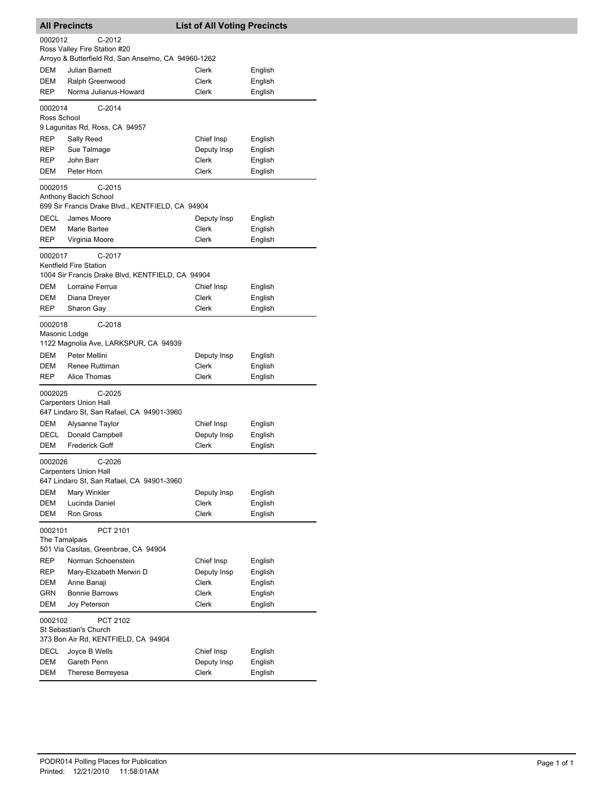| <b>All Precincts</b> |                                                                            | <b>List of All Voting Precincts</b> |                    |
|----------------------|----------------------------------------------------------------------------|-------------------------------------|--------------------|
| 0002012              | $C-2012$                                                                   |                                     |                    |
|                      | Ross Valley Fire Station #20                                               |                                     |                    |
|                      | Arroyo & Butterfield Rd, San Anselmo, CA 94960-1262                        |                                     |                    |
| DEM                  | Julian Barnett                                                             | Clerk                               | English            |
| DEM                  | Ralph Greenwood                                                            | Clerk                               | English            |
| REP                  | Norma Julianus-Howard                                                      | <b>Clerk</b>                        | English            |
| 0002014              | $C-2014$                                                                   |                                     |                    |
| Ross School          |                                                                            |                                     |                    |
|                      | 9 Lagunitas Rd, Ross, CA 94957                                             |                                     |                    |
| REP                  | Sally Reed                                                                 | Chief Insp                          | English            |
| REP                  | Sue Talmage                                                                | Deputy Insp                         | English            |
| REP                  | John Barr<br>Peter Horn                                                    | <b>Clerk</b><br>Clerk               | English            |
| DEM                  |                                                                            |                                     | English            |
| 0002015              | $C-2015$                                                                   |                                     |                    |
|                      | Anthony Bacich School                                                      |                                     |                    |
|                      | 699 Sir Francis Drake Blvd., KENTFIELD, CA 94904<br>James Moore            |                                     |                    |
| DECL<br>DEM          | Marie Bartee                                                               | Deputy Insp<br>Clerk                | English<br>English |
| <b>REP</b>           | Virginia Moore                                                             | Clerk                               | English            |
|                      |                                                                            |                                     |                    |
| 0002017              | C-2017                                                                     |                                     |                    |
|                      | Kentfield Fire Station<br>1004 Sir Francis Drake Blvd, KENTFIELD, CA 94904 |                                     |                    |
| <b>DEM</b>           | Lorraine Ferrua                                                            | Chief Insp                          | English            |
| DEM                  | Diana Dreyer                                                               | Clerk                               | English            |
| REP                  | Sharon Gay                                                                 | <b>Clerk</b>                        | English            |
|                      |                                                                            |                                     |                    |
| 0002018              | $C-2018$                                                                   |                                     |                    |
| Masonic Lodge        | 1122 Magnolia Ave, LARKSPUR, CA 94939                                      |                                     |                    |
| DEM                  | Peter Mellini                                                              | Deputy Insp                         | English            |
| DEM                  | Renee Ruttiman                                                             | Clerk                               | English            |
| REP                  | Alice Thomas                                                               | Clerk                               | English            |
|                      |                                                                            |                                     |                    |
| 0002025              | $C-2025$<br><b>Carpenters Union Hall</b>                                   |                                     |                    |
|                      | 647 Lindaro St, San Rafael, CA 94901-3960                                  |                                     |                    |
| DEM                  | Alysanne Taylor                                                            | Chief Insp                          | English            |
| DECL                 | Donald Campbell                                                            | Deputy Insp                         | English            |
| <b>DEM</b>           | <b>Frederick Goff</b>                                                      | <b>Clerk</b>                        | English            |
|                      |                                                                            |                                     |                    |
| 0002026              | $C-2026$<br>Carpenters Union Hall                                          |                                     |                    |
|                      | 647 Lindaro St, San Rafael, CA 94901-3960                                  |                                     |                    |
| DEM                  | Mary Winkler                                                               | Deputy Insp                         | English            |
| DEM                  | Lucinda Daniel                                                             | Clerk                               | English            |
| DEM                  | <b>Ron Gross</b>                                                           | Clerk                               | English            |
| 0002101              | PCT 2101                                                                   |                                     |                    |
| The Tamalpais        |                                                                            |                                     |                    |
|                      | 501 Via Casitas, Greenbrae, CA 94904                                       |                                     |                    |
| REP                  | Norman Schoenstein                                                         | Chief Insp                          | English            |
| REP                  | Mary-Elizabeth Merwin D                                                    | Deputy Insp                         | English            |
| DEM                  | Anne Banaji                                                                | Clerk                               | English            |
| <b>GRN</b>           | <b>Bonnie Barrows</b>                                                      | Clerk                               | English            |
| DEM                  | Joy Peterson                                                               | Clerk                               | English            |
| 0002102              | PCT 2102                                                                   |                                     |                    |
|                      | St Sebastian's Church                                                      |                                     |                    |
|                      | 373 Bon Air Rd, KENTFIELD, CA 94904                                        |                                     |                    |
| DECL                 | Joyce B Wells                                                              | Chief Insp                          | English            |
| DEM                  | Gareth Penn                                                                | Deputy Insp                         | English            |
| DEM                  | Therese Berreyesa                                                          | Clerk                               | English            |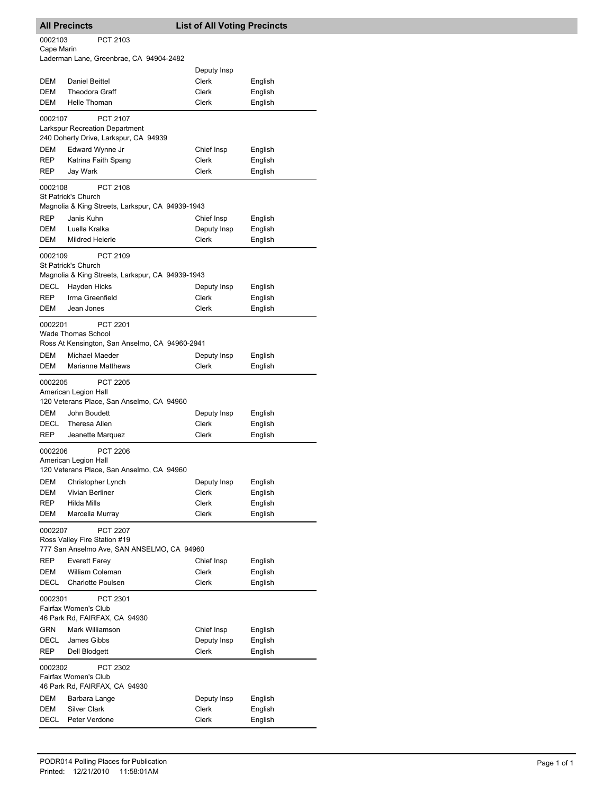|                                      | <b>All Precincts</b>                                                                                                                                                 | <b>List of All Voting Precincts</b> |                               |
|--------------------------------------|----------------------------------------------------------------------------------------------------------------------------------------------------------------------|-------------------------------------|-------------------------------|
| 0002103<br>Cape Marin                | PCT 2103                                                                                                                                                             |                                     |                               |
|                                      | Laderman Lane, Greenbrae, CA 94904-2482                                                                                                                              |                                     |                               |
| <b>DEM</b>                           |                                                                                                                                                                      | Deputy Insp                         |                               |
| DEM                                  | Daniel Beittel<br><b>Theodora Graff</b>                                                                                                                              | Clerk<br>Clerk                      | English<br>English            |
| DEM                                  | Helle Thoman                                                                                                                                                         | Clerk                               | English                       |
| 0002107                              | <b>PCT 2107</b><br><b>Larkspur Recreation Department</b>                                                                                                             |                                     |                               |
|                                      | 240 Doherty Drive, Larkspur, CA 94939                                                                                                                                |                                     |                               |
| DEM                                  | Edward Wynne Jr                                                                                                                                                      | Chief Insp                          | English                       |
| REP<br>REP                           | Katrina Faith Spang<br>Jay Wark                                                                                                                                      | Clerk<br>Clerk                      | English                       |
|                                      |                                                                                                                                                                      |                                     | English                       |
| 0002108                              | PCT 2108<br>St Patrick's Church<br>Magnolia & King Streets, Larkspur, CA 94939-1943                                                                                  |                                     |                               |
| <b>REP</b>                           | Janis Kuhn                                                                                                                                                           | Chief Insp                          | English                       |
| DEM                                  | Luella Kralka                                                                                                                                                        | Deputy Insp                         | English                       |
| DEM                                  | Mildred Heierle                                                                                                                                                      | Clerk                               | English                       |
| 0002109<br>DECL                      | PCT 2109<br>St Patrick's Church<br>Magnolia & King Streets, Larkspur, CA 94939-1943<br>Hayden Hicks                                                                  | Deputy Insp                         | English                       |
| REP                                  | Irma Greenfield                                                                                                                                                      | Clerk                               | English                       |
| DEM                                  | Jean Jones                                                                                                                                                           | Clerk                               | English                       |
| 0002201<br>DEM<br>DEM                | <b>PCT 2201</b><br>Wade Thomas School<br>Ross At Kensington, San Anselmo, CA 94960-2941<br>Michael Maeder<br><b>Marianne Matthews</b>                                | Deputy Insp<br>Clerk                | English<br>English            |
| 0002205                              | PCT 2205<br>American Legion Hall<br>120 Veterans Place, San Anselmo, CA 94960                                                                                        |                                     |                               |
| DEM<br>DECL                          | John Boudett<br>Theresa Allen                                                                                                                                        | Deputy Insp<br><b>Clerk</b>         | English<br>English            |
| REP                                  | Jeanette Marquez                                                                                                                                                     | Clerk                               | English                       |
| 0002206<br>DEM<br>DEM                | <b>PCT 2206</b><br>American Legion Hall<br>120 Veterans Place, San Anselmo, CA 94960<br>Christopher Lynch<br>Vivian Berliner                                         | Deputy Insp<br>Clerk                | English<br>English            |
| REP                                  | Hilda Mills                                                                                                                                                          | Clerk                               | English                       |
| DEM                                  | Marcella Murray                                                                                                                                                      | Clerk                               | English                       |
| 0002207<br>REP<br>DEM<br><b>DECL</b> | <b>PCT 2207</b><br>Ross Valley Fire Station #19<br>777 San Anselmo Ave, SAN ANSELMO, CA 94960<br><b>Everett Farey</b><br>William Coleman<br><b>Charlotte Poulsen</b> | Chief Insp<br>Clerk<br>Clerk        | English<br>English<br>English |
|                                      |                                                                                                                                                                      |                                     |                               |
| 0002301                              | PCT 2301<br>Fairfax Women's Club<br>46 Park Rd, FAIRFAX, CA 94930                                                                                                    |                                     |                               |
| GRN                                  | Mark Williamson                                                                                                                                                      | Chief Insp                          | English                       |
| DECL<br>REP                          | James Gibbs<br>Dell Blodgett                                                                                                                                         | Deputy Insp<br>Clerk                | English<br>English            |
| 0002302                              | PCT 2302<br>Fairfax Women's Club<br>46 Park Rd, FAIRFAX, CA 94930                                                                                                    |                                     |                               |
| DEM                                  | Barbara Lange                                                                                                                                                        | Deputy Insp                         | English                       |
| DEM                                  | <b>Silver Clark</b>                                                                                                                                                  | Clerk                               | English                       |
| DECL                                 | Peter Verdone                                                                                                                                                        | Clerk                               | English                       |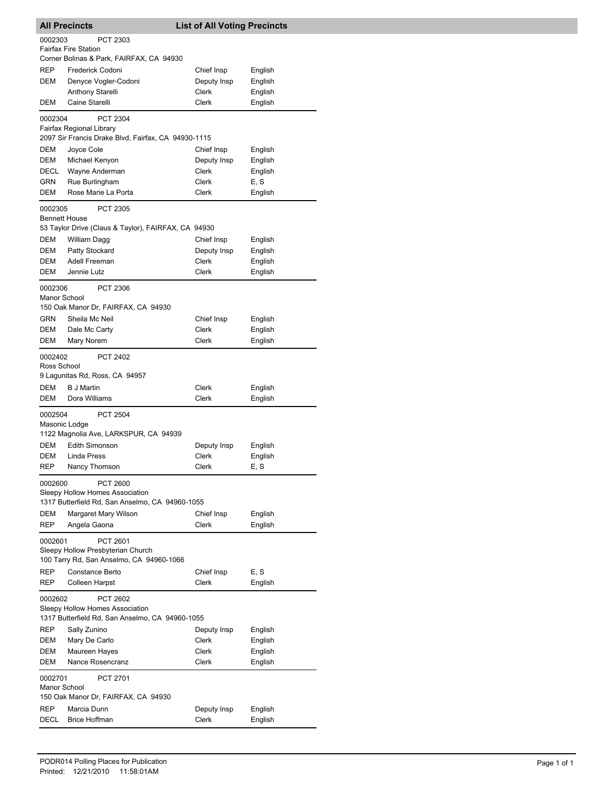|                                 | <b>All Precincts</b>                                                                                    | <b>List of All Voting Precincts</b> |                    |
|---------------------------------|---------------------------------------------------------------------------------------------------------|-------------------------------------|--------------------|
| 0002303                         | PCT 2303<br><b>Fairfax Fire Station</b>                                                                 |                                     |                    |
|                                 | Corner Bolinas & Park, FAIRFAX, CA 94930                                                                |                                     |                    |
| REP                             | Frederick Codoni                                                                                        | Chief Insp                          | English            |
| DEM                             | Denyce Vogler-Codoni                                                                                    | Deputy Insp                         | English            |
|                                 | <b>Anthony Starelli</b>                                                                                 | Clerk                               | English            |
| DEM                             | Caine Starelli                                                                                          | Clerk                               | English            |
| 0002304                         | PCT 2304<br>Fairfax Regional Library<br>2097 Sir Francis Drake Blvd, Fairfax, CA 94930-1115             |                                     |                    |
|                                 |                                                                                                         |                                     |                    |
| DEM                             | Joyce Cole                                                                                              | Chief Insp                          | English            |
| DEM                             | Michael Kenyon                                                                                          | Deputy Insp                         | English            |
| DECL                            | Wayne Anderman                                                                                          | Clerk                               | English            |
| GRN                             | Rue Burlingham                                                                                          | Clerk                               | E, S               |
| DEM                             | Rose Marie La Porta                                                                                     | Clerk                               | English            |
| 0002305<br><b>Bennett House</b> | <b>PCT 2305</b><br>53 Taylor Drive (Claus & Taylor), FAIRFAX, CA 94930                                  |                                     |                    |
| DEM                             | William Dagg                                                                                            | Chief Insp                          | English            |
| DEM                             | Patty Stockard                                                                                          | Deputy Insp                         | English            |
| <b>DEM</b>                      | Adell Freeman                                                                                           | Clerk                               | English            |
| DEM                             | Jennie Lutz                                                                                             | Clerk                               | English            |
|                                 |                                                                                                         |                                     |                    |
| 0002306<br>Manor School         | PCT 2306<br>150 Oak Manor Dr, FAIRFAX, CA 94930                                                         |                                     |                    |
| <b>GRN</b>                      | Sheila Mc Neil                                                                                          | Chief Insp                          | English            |
| DEM                             | Dale Mc Carty                                                                                           | Clerk                               | English            |
| DEM                             | Mary Norem                                                                                              | Clerk                               | English            |
| 0002402<br>Ross School          | PCT 2402                                                                                                |                                     |                    |
|                                 | 9 Lagunitas Rd, Ross, CA 94957                                                                          |                                     |                    |
| DEM<br>DEM                      | <b>B</b> J Martin<br>Dora Williams                                                                      | Clerk<br>Clerk                      | English<br>English |
| 0002504<br>Masonic Lodge        | <b>PCT 2504</b><br>1122 Magnolia Ave, LARKSPUR, CA 94939                                                |                                     |                    |
| DEM                             | Edith Simonson                                                                                          | Deputy Insp                         | English            |
| DEM                             | Linda Press                                                                                             | Clerk                               | English            |
| <b>REP</b>                      | Nancy Thomson                                                                                           | Clerk                               | E, S               |
| 0002600                         | <b>PCT 2600</b><br>Sleepy Hollow Homes Association                                                      |                                     |                    |
|                                 | 1317 Butterfield Rd, San Anselmo, CA 94960-1055                                                         |                                     |                    |
| DEM                             |                                                                                                         |                                     |                    |
| <b>REP</b>                      | Margaret Mary Wilson<br>Angela Gaona                                                                    | Chief Insp<br>Clerk                 | English<br>English |
| 0002601                         | PCT 2601                                                                                                |                                     |                    |
| REP                             | Sleepy Hollow Presbyterian Church<br>100 Tarry Rd, San Anselmo, CA 94960-1066<br><b>Constance Berto</b> | Chief Insp                          | E, S               |
| REP                             | <b>Colleen Harpst</b>                                                                                   | Clerk                               | English            |
|                                 |                                                                                                         |                                     |                    |
| 0002602                         | PCT 2602<br>Sleepy Hollow Homes Association<br>1317 Butterfield Rd, San Anselmo, CA 94960-1055          |                                     |                    |
| REP                             | Sally Zunino                                                                                            | Deputy Insp                         | English            |
| DEM                             | Mary De Carlo                                                                                           | Clerk                               | English            |
| DEM                             | Maureen Hayes                                                                                           | Clerk                               | English            |
| DEM                             | Nance Rosencranz                                                                                        | Clerk                               | English            |
| 0002701<br>Manor School         | <b>PCT 2701</b><br>150 Oak Manor Dr, FAIRFAX, CA 94930                                                  |                                     |                    |
|                                 |                                                                                                         |                                     |                    |
| REP<br>DECL                     | Marcia Dunn<br><b>Brice Hoffman</b>                                                                     | Deputy Insp<br>Clerk                | English            |
|                                 |                                                                                                         |                                     | English            |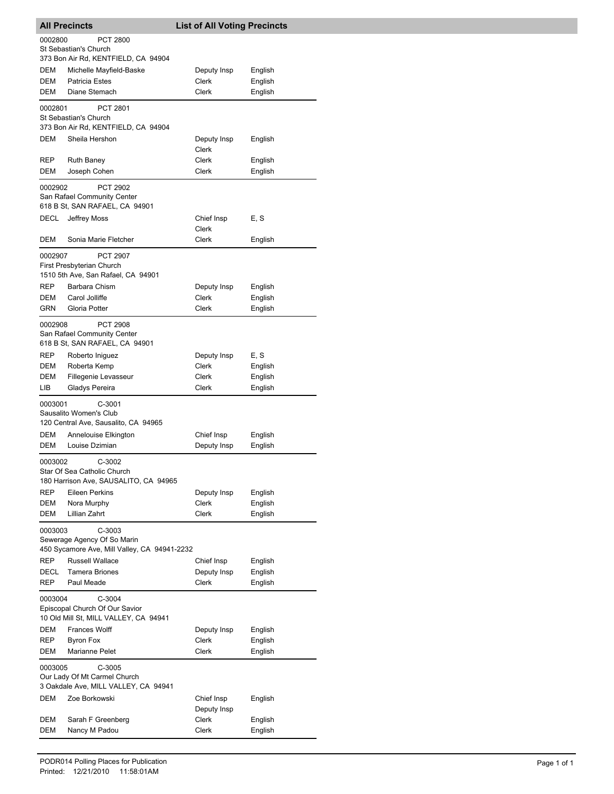|             | <b>All Precincts</b>                                                                | <b>List of All Voting Precincts</b> |                    |
|-------------|-------------------------------------------------------------------------------------|-------------------------------------|--------------------|
| 0002800     | PCT 2800                                                                            |                                     |                    |
|             | St Sebastian's Church<br>373 Bon Air Rd, KENTFIELD, CA 94904                        |                                     |                    |
| DEM         | Michelle Mayfield-Baske                                                             | Deputy Insp                         | English            |
| DEM         | <b>Patricia Estes</b>                                                               | Clerk                               | English            |
| DEM         | Diane Stemach                                                                       | Clerk                               | English            |
| 0002801     | PCT 2801                                                                            |                                     |                    |
|             | St Sebastian's Church                                                               |                                     |                    |
|             | 373 Bon Air Rd, KENTFIELD, CA 94904                                                 |                                     |                    |
| DEM         | Sheila Hershon                                                                      | Deputy Insp                         | English            |
| REP         | <b>Ruth Baney</b>                                                                   | Clerk<br>Clerk                      | English            |
| DEM         | Joseph Cohen                                                                        | Clerk                               | English            |
|             |                                                                                     |                                     |                    |
| 0002902     | <b>PCT 2902</b><br>San Rafael Community Center                                      |                                     |                    |
|             | 618 B St, SAN RAFAEL, CA 94901                                                      |                                     |                    |
| DECL        | Jeffrey Moss                                                                        | Chief Insp                          | E, S               |
|             |                                                                                     | Clerk                               |                    |
| DEM         | Sonia Marie Fletcher                                                                | Clerk                               | English            |
| 0002907     | <b>PCT 2907</b>                                                                     |                                     |                    |
|             | First Presbyterian Church<br>1510 5th Ave, San Rafael, CA 94901                     |                                     |                    |
| <b>REP</b>  | Barbara Chism                                                                       | Deputy Insp                         | English            |
| DEM         | Carol Jolliffe                                                                      | Clerk                               | English            |
| GRN         | Gloria Potter                                                                       | Clerk                               | English            |
| 0002908     | <b>PCT 2908</b>                                                                     |                                     |                    |
|             | San Rafael Community Center                                                         |                                     |                    |
|             | 618 B St, SAN RAFAEL, CA 94901                                                      |                                     |                    |
| REP         | Roberto Iniguez                                                                     | Deputy Insp                         | E, S               |
| DEM         | Roberta Kemp                                                                        | Clerk                               | English            |
| DEM         | Fillegenie Levasseur                                                                | Clerk                               | English            |
| LIB         | Gladys Pereira                                                                      | Clerk                               | English            |
| 0003001     | $C-3001$<br>Sausalito Women's Club                                                  |                                     |                    |
|             | 120 Central Ave, Sausalito, CA 94965                                                |                                     |                    |
| DEM         | Annelouise Elkington                                                                | Chief Insp                          | English            |
| DEM         | Louise Dzimian                                                                      | Deputy Insp                         | English            |
| 0003002     | $C-3002$                                                                            |                                     |                    |
|             | Star Of Sea Catholic Church<br>180 Harrison Ave, SAUSALITO, CA 94965                |                                     |                    |
| REP         | Eileen Perkins                                                                      | Deputy Insp                         | English            |
| DEM         | Nora Murphy                                                                         | Clerk                               | English            |
| DEM         | Lillian Zahrt                                                                       | Clerk                               | English            |
| 0003003     | $C-3003$                                                                            |                                     |                    |
|             | Sewerage Agency Of So Marin                                                         |                                     |                    |
|             | 450 Sycamore Ave, Mill Valley, CA 94941-2232                                        |                                     |                    |
| <b>REP</b>  | <b>Russell Wallace</b>                                                              | Chief Insp                          | English            |
| DECL<br>REP | <b>Tamera Briones</b><br>Paul Meade                                                 | Deputy Insp<br><b>Clerk</b>         | English<br>English |
|             |                                                                                     |                                     |                    |
| 0003004     | $C-3004$<br>Episcopal Church Of Our Savior<br>10 Old Mill St, MILL VALLEY, CA 94941 |                                     |                    |
| DEM         | <b>Frances Wolff</b>                                                                | Deputy Insp                         | English            |
| REP         | Byron Fox                                                                           | Clerk                               | English            |
| DEM         | Marianne Pelet                                                                      | Clerk                               | English            |
| 0003005     | C-3005                                                                              |                                     |                    |
|             | Our Lady Of Mt Carmel Church                                                        |                                     |                    |
|             | 3 Oakdale Ave, MILL VALLEY, CA 94941                                                |                                     |                    |
| DEM         | Zoe Borkowski                                                                       | Chief Insp                          | English            |
|             |                                                                                     | Deputy Insp                         |                    |
| DEM         | Sarah F Greenberg                                                                   | Clerk                               | English            |
| DEM         | Nancy M Padou                                                                       | Clerk                               | English            |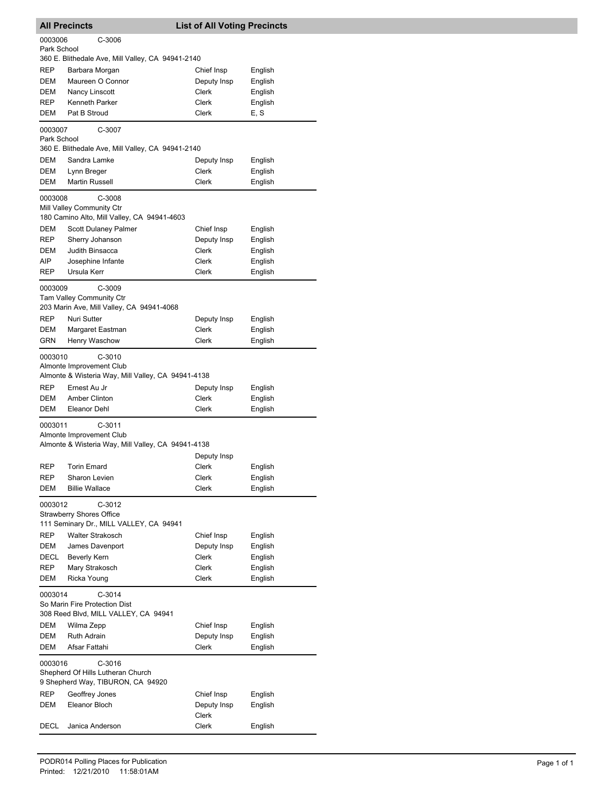|                     | <b>All Precincts</b>                               | <b>List of All Voting Precincts</b> |                    |  |
|---------------------|----------------------------------------------------|-------------------------------------|--------------------|--|
| 0003006             | C-3006                                             |                                     |                    |  |
| Park School         |                                                    |                                     |                    |  |
|                     | 360 E. Blithedale Ave, Mill Valley, CA 94941-2140  |                                     |                    |  |
| REP                 | Barbara Morgan                                     | Chief Insp                          | English            |  |
| DEM<br>DEM          | Maureen O Connor<br>Nancy Linscott                 | Deputy Insp<br>Clerk                | English            |  |
| REP                 | Kenneth Parker                                     | Clerk                               | English<br>English |  |
| DEM                 | Pat B Stroud                                       | Clerk                               | E, S               |  |
|                     |                                                    |                                     |                    |  |
| 0003007             | C-3007                                             |                                     |                    |  |
| Park School         | 360 E. Blithedale Ave, Mill Valley, CA 94941-2140  |                                     |                    |  |
| DEM                 | Sandra Lamke                                       | Deputy Insp                         | English            |  |
| DEM                 | Lynn Breger                                        | Clerk                               | English            |  |
| DEM                 | <b>Martin Russell</b>                              | Clerk                               | English            |  |
|                     |                                                    |                                     |                    |  |
| 0003008             | C-3008<br>Mill Valley Community Ctr                |                                     |                    |  |
|                     | 180 Camino Alto, Mill Valley, CA 94941-4603        |                                     |                    |  |
| DEM                 | Scott Dulaney Palmer                               | Chief Insp                          | English            |  |
| REP                 | Sherry Johanson                                    | Deputy Insp                         | English            |  |
| DEM                 | Judith Binsacca                                    | Clerk                               | English            |  |
| AIP                 | Josephine Infante                                  | Clerk                               | English            |  |
| <b>REP</b>          | Ursula Kerr                                        | Clerk                               | English            |  |
| 0003009             | $C-3009$                                           |                                     |                    |  |
|                     | <b>Tam Valley Community Ctr</b>                    |                                     |                    |  |
|                     | 203 Marin Ave, Mill Valley, CA 94941-4068          |                                     |                    |  |
| <b>REP</b>          | Nuri Sutter                                        | Deputy Insp                         | English            |  |
| DEM                 | Margaret Eastman                                   | Clerk                               | English            |  |
| GRN                 | Henry Waschow                                      | Clerk                               | English            |  |
| 0003010             | C-3010                                             |                                     |                    |  |
|                     | Almonte Improvement Club                           |                                     |                    |  |
|                     | Almonte & Wisteria Way, Mill Valley, CA 94941-4138 |                                     |                    |  |
| <b>REP</b>          | Ernest Au Jr                                       | Deputy Insp                         | English            |  |
| DEM                 | Amber Clinton                                      | Clerk                               | English            |  |
| DEM                 | Eleanor Dehl                                       | Clerk                               | English            |  |
| $C-3011$<br>0003011 |                                                    |                                     |                    |  |
|                     | Almonte Improvement Club                           |                                     |                    |  |
|                     | Almonte & Wisteria Way, Mill Valley, CA 94941-4138 |                                     |                    |  |
|                     |                                                    | Deputy Insp                         |                    |  |
| <b>REP</b>          | Torin Emard                                        | Clerk                               | English            |  |
| REP                 | Sharon Levien                                      | Clerk                               | English            |  |
| DEM                 | <b>Billie Wallace</b>                              | Clerk                               | English            |  |
| 0003012             | $C-3012$                                           |                                     |                    |  |
|                     | <b>Strawberry Shores Office</b>                    |                                     |                    |  |
|                     | 111 Seminary Dr., MILL VALLEY, CA 94941            |                                     |                    |  |
| REP                 | <b>Walter Strakosch</b>                            | Chief Insp                          | English            |  |
| DEM                 | James Davenport                                    | Deputy Insp                         | English            |  |
| DECL                | Beverly Kern                                       | <b>Clerk</b>                        | English            |  |
| REP                 | Mary Strakosch                                     | Clerk                               | English            |  |
| <b>DEM</b>          | Ricka Young                                        | Clerk                               | English            |  |
| 0003014             | $C-3014$                                           |                                     |                    |  |
|                     | So Marin Fire Protection Dist                      |                                     |                    |  |
|                     | 308 Reed Blvd, MILL VALLEY, CA 94941               |                                     |                    |  |
| DEM                 | Wilma Zepp                                         | Chief Insp                          | English            |  |
| DEM                 | <b>Ruth Adrain</b>                                 | Deputy Insp                         | English            |  |
| DEM                 | Afsar Fattahi                                      | Clerk                               | English            |  |
| 0003016             | C-3016                                             |                                     |                    |  |
|                     | Shepherd Of Hills Lutheran Church                  |                                     |                    |  |
|                     | 9 Shepherd Way, TIBURON, CA 94920                  |                                     |                    |  |
| REP                 | Geoffrey Jones                                     | Chief Insp                          | English            |  |
| DEM                 | Eleanor Bloch                                      | Deputy Insp                         | English            |  |
|                     |                                                    | Clerk                               |                    |  |
| DECL                | Janica Anderson                                    | Clerk                               | English            |  |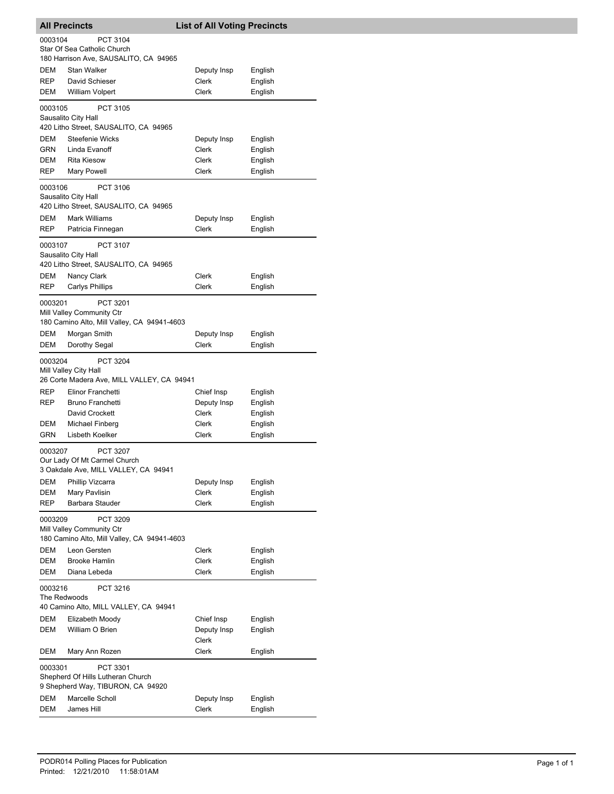|                         | <b>All Precincts</b>                                                                 | <b>List of All Voting Precincts</b> |                    |
|-------------------------|--------------------------------------------------------------------------------------|-------------------------------------|--------------------|
| 0003104                 | PCT 3104                                                                             |                                     |                    |
|                         | Star Of Sea Catholic Church<br>180 Harrison Ave, SAUSALITO, CA 94965                 |                                     |                    |
| DEM                     | <b>Stan Walker</b>                                                                   | Deputy Insp                         | English            |
| REP                     | David Schieser                                                                       | <b>Clerk</b>                        | English            |
| DEM                     | <b>William Volpert</b>                                                               | Clerk                               | English            |
| 0003105                 | <b>PCT 3105</b><br>Sausalito City Hall                                               |                                     |                    |
|                         | 420 Litho Street, SAUSALITO, CA 94965                                                |                                     |                    |
| DEM                     | <b>Steefenie Wicks</b>                                                               | Deputy Insp                         | English            |
| GRN                     | Linda Evanoff                                                                        | Clerk                               | English            |
| DEM<br>REP              | <b>Rita Kiesow</b><br>Mary Powell                                                    | Clerk<br>Clerk                      | English<br>English |
|                         |                                                                                      |                                     |                    |
| 0003106                 | PCT 3106<br>Sausalito City Hall<br>420 Litho Street, SAUSALITO, CA 94965             |                                     |                    |
| DEM                     | Mark Williams                                                                        | Deputy Insp                         | English            |
| REP                     | Patricia Finnegan                                                                    | Clerk                               | English            |
| 0003107                 | <b>PCT 3107</b><br>Sausalito City Hall                                               |                                     |                    |
|                         | 420 Litho Street, SAUSALITO, CA 94965                                                |                                     |                    |
| DEM<br>REP              | Nancy Clark<br>Carlys Phillips                                                       | Clerk<br>Clerk                      | English<br>English |
|                         |                                                                                      |                                     |                    |
| 0003201                 | PCT 3201<br>Mill Valley Community Ctr<br>180 Camino Alto, Mill Valley, CA 94941-4603 |                                     |                    |
| DEM                     | Morgan Smith                                                                         | Deputy Insp                         | English            |
| DEM                     | Dorothy Segal                                                                        | Clerk                               | English            |
| 0003204                 | PCT 3204<br>Mill Valley City Hall<br>26 Corte Madera Ave, MILL VALLEY, CA 94941      |                                     |                    |
| REP                     | Elinor Franchetti                                                                    | Chief Insp                          | English            |
| REP                     | Bruno Franchetti                                                                     | Deputy Insp                         | English            |
|                         | David Crockett                                                                       | Clerk                               | English            |
| DEM<br>GRN              | Michael Finberg<br>Lisbeth Koelker                                                   | Clerk<br>Clerk                      | English            |
|                         |                                                                                      |                                     | English            |
| 0003207                 | PCT 3207<br>Our Lady Of Mt Carmel Church<br>3 Oakdale Ave, MILL VALLEY, CA 94941     |                                     |                    |
| DEM                     | Phillip Vizcarra                                                                     | Deputy Insp                         | English            |
| DEM                     | Mary Pavlisin                                                                        | Clerk                               | English            |
| REP                     | Barbara Stauder                                                                      | Clerk                               | English            |
| 0003209                 | PCT 3209<br>Mill Valley Community Ctr<br>180 Camino Alto, Mill Valley, CA 94941-4603 |                                     |                    |
| DEM                     | Leon Gersten                                                                         | Clerk                               | English            |
| DEM                     | <b>Brooke Hamlin</b>                                                                 | Clerk                               | English            |
| DEM                     | Diana Lebeda                                                                         | Clerk                               | English            |
| 0003216<br>The Redwoods | PCT 3216                                                                             |                                     |                    |
|                         | 40 Camino Alto, MILL VALLEY, CA 94941                                                |                                     |                    |
| DEM                     | Elizabeth Moody                                                                      | Chief Insp                          | English            |
| DEM                     | William O Brien                                                                      | Deputy Insp<br>Clerk                | English            |
| DEM                     | Mary Ann Rozen                                                                       | Clerk                               | English            |
| 0003301                 | PCT 3301<br>Shepherd Of Hills Lutheran Church                                        |                                     |                    |
| DEM                     | 9 Shepherd Way, TIBURON, CA 94920<br>Marcelle Scholl                                 | Deputy Insp                         | English            |
| DEM                     | James Hill                                                                           | <b>Clerk</b>                        | English            |
|                         |                                                                                      |                                     |                    |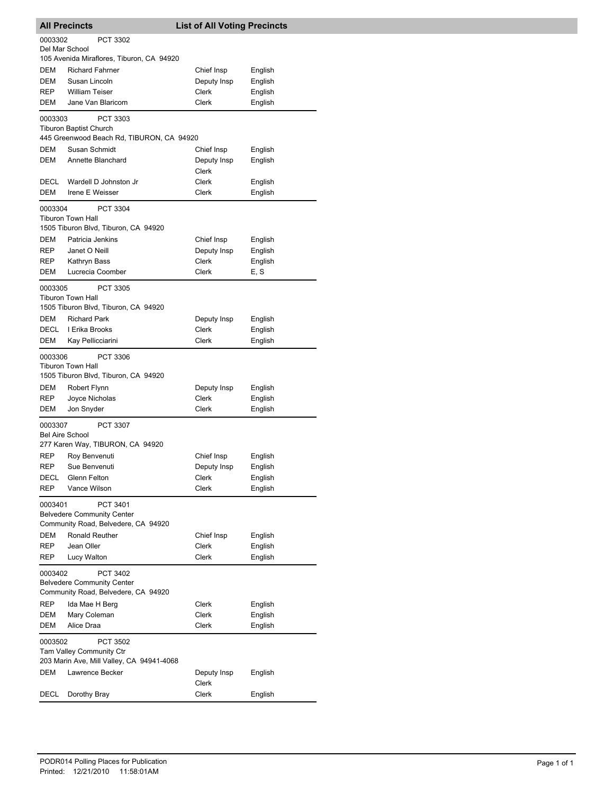|                                   | <b>All Precincts</b>                                                                 | <b>List of All Voting Precincts</b> |                    |
|-----------------------------------|--------------------------------------------------------------------------------------|-------------------------------------|--------------------|
| 0003302<br>Del Mar School         | PCT 3302                                                                             |                                     |                    |
|                                   | 105 Avenida Miraflores, Tiburon, CA 94920                                            |                                     |                    |
| DEM                               | <b>Richard Fahrner</b>                                                               | Chief Insp                          | English            |
| DEM                               | Susan Lincoln                                                                        | Deputy Insp                         | English            |
| REP                               | <b>William Teiser</b>                                                                | Clerk                               | English            |
| DEM                               | Jane Van Blaricom                                                                    | Clerk                               | English            |
| 0003303                           | PCT 3303<br>Tiburon Baptist Church<br>445 Greenwood Beach Rd, TIBURON, CA 94920      |                                     |                    |
| DEM                               | Susan Schmidt                                                                        | Chief Insp                          |                    |
| DEM                               | Annette Blanchard                                                                    | Deputy Insp                         | English<br>English |
|                                   |                                                                                      | Clerk                               |                    |
| DECL                              | Wardell D Johnston Jr                                                                | Clerk                               | English            |
| DEM                               | Irene E Weisser                                                                      | Clerk                               | English            |
| 0003304                           | PCT 3304                                                                             |                                     |                    |
|                                   | <b>Tiburon Town Hall</b><br>1505 Tiburon Blvd, Tiburon, CA 94920                     |                                     |                    |
| DEM                               | Patricia Jenkins                                                                     | Chief Insp                          | English            |
| REP                               | Janet O Neill                                                                        | Deputy Insp                         | English            |
| REP                               | Kathryn Bass                                                                         | Clerk                               | English            |
| DEM                               | Lucrecia Coomber                                                                     | Clerk                               | E, S               |
|                                   |                                                                                      |                                     |                    |
| 0003305                           | PCT 3305<br><b>Tiburon Town Hall</b>                                                 |                                     |                    |
|                                   | 1505 Tiburon Blvd, Tiburon, CA 94920                                                 |                                     |                    |
| DEM                               | <b>Richard Park</b>                                                                  | Deputy Insp                         | English            |
| DECL                              | I Erika Brooks                                                                       | Clerk                               | English            |
| DEM                               | Kay Pellicciarini                                                                    | Clerk                               | English            |
| 0003306                           | PCT 3306                                                                             |                                     |                    |
|                                   | <b>Tiburon Town Hall</b><br>1505 Tiburon Blvd, Tiburon, CA 94920                     |                                     |                    |
| DEM                               | Robert Flynn                                                                         | Deputy Insp                         | English            |
| REP                               | Joyce Nicholas                                                                       | Clerk                               | English            |
| DEM                               | Jon Snyder                                                                           | Clerk                               | English            |
| 0003307<br><b>Bel Aire School</b> | <b>PCT 3307</b><br>277 Karen Way, TIBURON, CA 94920                                  |                                     |                    |
| REP                               | Roy Benvenuti                                                                        | Chief Insp                          | English            |
| REP                               | Sue Benvenuti                                                                        | Deputy Insp                         | English            |
| DECL                              | <b>Glenn Felton</b>                                                                  | Clerk                               | English            |
| REP                               | Vance Wilson                                                                         | Clerk                               | English            |
| 0003401                           | PCT 3401<br><b>Belvedere Community Center</b><br>Community Road, Belvedere, CA 94920 |                                     |                    |
| DEM                               | Ronald Reuther                                                                       | Chief Insp                          | English            |
| REP                               | Jean Oller                                                                           | <b>Clerk</b>                        | English            |
| REP                               | Lucy Walton                                                                          | Clerk                               | English            |
| 0003402                           | PCT 3402<br><b>Belvedere Community Center</b>                                        |                                     |                    |
|                                   | Community Road, Belvedere, CA 94920                                                  |                                     |                    |
| REP                               | Ida Mae H Berg                                                                       | Clerk                               | English            |
| DEM                               | Mary Coleman                                                                         | Clerk                               | English            |
| DEM                               | Alice Draa                                                                           | Clerk                               | English            |
| 0003502                           | PCT 3502<br>Tam Valley Community Ctr<br>203 Marin Ave, Mill Valley, CA 94941-4068    |                                     |                    |
| DEM                               | Lawrence Becker                                                                      | Deputy Insp<br>Clerk                | English            |
| DECL                              | Dorothy Bray                                                                         | Clerk                               | English            |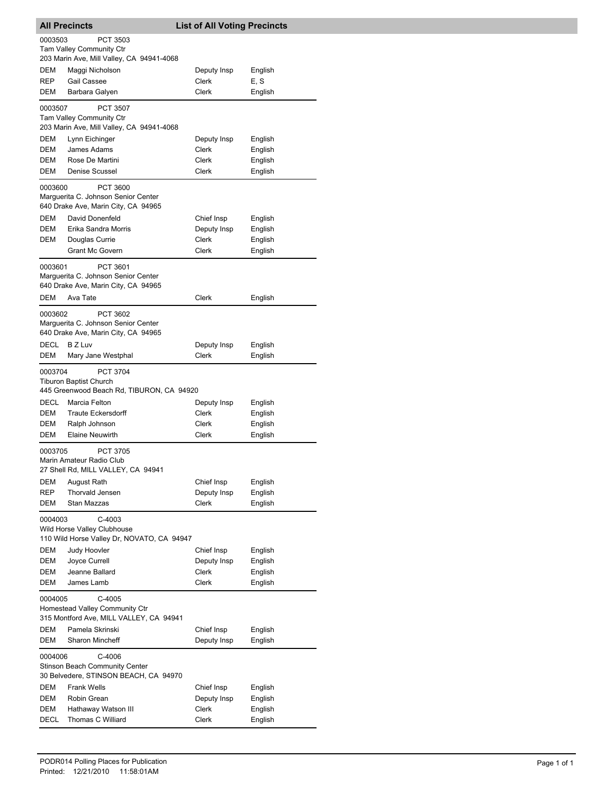|                                                                                                | <b>All Precincts</b>                                                                            | <b>List of All Voting Precincts</b> |                    |  |
|------------------------------------------------------------------------------------------------|-------------------------------------------------------------------------------------------------|-------------------------------------|--------------------|--|
| 0003503                                                                                        | PCT 3503<br><b>Tam Valley Community Ctr</b><br>203 Marin Ave, Mill Valley, CA 94941-4068        |                                     |                    |  |
| <b>DEM</b><br><b>REP</b>                                                                       | Maggi Nicholson<br><b>Gail Cassee</b>                                                           | Deputy Insp<br>Clerk                | English<br>E, S    |  |
| DEM                                                                                            | Barbara Galyen                                                                                  | Clerk                               | English            |  |
| 0003507                                                                                        | <b>PCT 3507</b><br><b>Tam Valley Community Ctr</b><br>203 Marin Ave, Mill Valley, CA 94941-4068 |                                     |                    |  |
| DEM<br><b>DEM</b>                                                                              | Lynn Eichinger<br>James Adams                                                                   | Deputy Insp<br>Clerk                | English<br>English |  |
| DEM<br>DEM                                                                                     | Rose De Martini<br>Denise Scussel                                                               | Clerk<br>Clerk                      | English<br>English |  |
| 0003600                                                                                        | <b>PCT 3600</b><br>Marguerita C. Johnson Senior Center<br>640 Drake Ave, Marin City, CA 94965   |                                     |                    |  |
| DEM                                                                                            | David Donenfeld                                                                                 | Chief Insp                          | English            |  |
| DEM                                                                                            | Erika Sandra Morris                                                                             | Deputy Insp                         | English            |  |
| DEM                                                                                            | Douglas Currie<br><b>Grant Mc Govern</b>                                                        | <b>Clerk</b><br>Clerk               | English            |  |
|                                                                                                |                                                                                                 |                                     | English            |  |
| 0003601                                                                                        | PCT 3601<br>Marguerita C. Johnson Senior Center<br>640 Drake Ave, Marin City, CA 94965          |                                     |                    |  |
| DEM                                                                                            | Ava Tate                                                                                        | Clerk                               | English            |  |
| 0003602                                                                                        | PCT 3602<br>Marguerita C. Johnson Senior Center<br>640 Drake Ave, Marin City, CA 94965          |                                     |                    |  |
| <b>DECL</b>                                                                                    | B Z Luv                                                                                         | Deputy Insp                         | English            |  |
| DEM                                                                                            | Mary Jane Westphal                                                                              | Clerk                               | English            |  |
| 0003704                                                                                        | <b>PCT 3704</b><br><b>Tiburon Baptist Church</b><br>445 Greenwood Beach Rd, TIBURON, CA 94920   |                                     |                    |  |
| DECL                                                                                           | Marcia Felton                                                                                   | Deputy Insp                         | English            |  |
| DEM                                                                                            | <b>Traute Eckersdorff</b>                                                                       | Clerk                               | English            |  |
| DEM<br>DEM                                                                                     | Ralph Johnson<br><b>Elaine Neuwirth</b>                                                         | Clerk<br>Clerk                      | English<br>English |  |
| 0003705                                                                                        | <b>PCT 3705</b><br>Marin Amateur Radio Club<br>27 Shell Rd, MILL VALLEY, CA 94941               |                                     |                    |  |
| DEM                                                                                            | August Rath                                                                                     | Chief Insp                          | English            |  |
| REP                                                                                            | Thorvald Jensen                                                                                 | Deputy Insp                         | English            |  |
| DEM                                                                                            | Stan Mazzas                                                                                     | <b>Clerk</b>                        | English            |  |
| 0004003<br>C-4003<br>Wild Horse Valley Clubhouse<br>110 Wild Horse Valley Dr, NOVATO, CA 94947 |                                                                                                 |                                     |                    |  |
| DEM                                                                                            | Judy Hoovler                                                                                    | Chief Insp                          | English            |  |
| DEM                                                                                            | Joyce Currell                                                                                   | Deputy Insp                         | English            |  |
| DEM<br>DEM                                                                                     | Jeanne Ballard<br>James Lamb                                                                    | Clerk<br>Clerk                      | English<br>English |  |
| 0004005                                                                                        | $C-4005$<br>Homestead Valley Community Ctr                                                      |                                     |                    |  |
|                                                                                                | 315 Montford Ave, MILL VALLEY, CA 94941                                                         |                                     |                    |  |
| DEM<br>DEM                                                                                     | Pamela Skrinski<br><b>Sharon Mincheff</b>                                                       | Chief Insp<br>Deputy Insp           | English<br>English |  |
| 0004006                                                                                        | C-4006<br><b>Stinson Beach Community Center</b><br>30 Belvedere, STINSON BEACH, CA 94970        |                                     |                    |  |
| DEM                                                                                            | <b>Frank Wells</b>                                                                              | Chief Insp                          | English            |  |
| DEM                                                                                            | Robin Grean                                                                                     | Deputy Insp                         | English            |  |
| DEM<br><b>DECL</b>                                                                             | Hathaway Watson III<br>Thomas C Williard                                                        | Clerk<br><b>Clerk</b>               | English<br>English |  |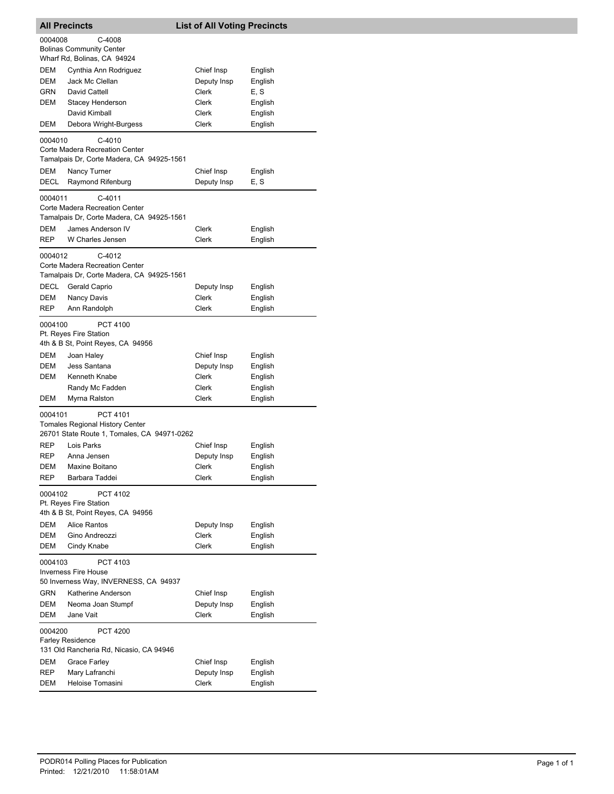| <b>All Precincts</b>                                                               |                                                                                                       | <b>List of All Voting Precincts</b> |                            |  |  |
|------------------------------------------------------------------------------------|-------------------------------------------------------------------------------------------------------|-------------------------------------|----------------------------|--|--|
| 0004008                                                                            | C-4008<br><b>Bolinas Community Center</b><br>Wharf Rd, Bolinas, CA 94924                              |                                     |                            |  |  |
| DEM<br>DEM                                                                         | Cynthia Ann Rodriguez<br>Jack Mc Clellan                                                              | Chief Insp<br>Deputy Insp           | English<br>English         |  |  |
| GRN<br>DEM                                                                         | David Cattell<br>Stacey Henderson<br>David Kimball                                                    | Clerk<br>Clerk<br>Clerk             | E, S<br>English<br>English |  |  |
| DEM                                                                                | Debora Wright-Burgess                                                                                 | Clerk                               | English                    |  |  |
| 0004010<br>DEM                                                                     | C-4010<br>Corte Madera Recreation Center<br>Tamalpais Dr, Corte Madera, CA 94925-1561<br>Nancy Turner | Chief Insp                          | English                    |  |  |
| DECL                                                                               | Raymond Rifenburg                                                                                     | Deputy Insp                         | E, S                       |  |  |
| 0004011                                                                            | C-4011<br>Corte Madera Recreation Center<br>Tamalpais Dr, Corte Madera, CA 94925-1561                 |                                     |                            |  |  |
| DEM<br><b>REP</b>                                                                  | James Anderson IV<br>W Charles Jensen                                                                 | Clerk<br>Clerk                      | English<br>English         |  |  |
| 0004012                                                                            | C-4012<br>Corte Madera Recreation Center<br>Tamalpais Dr, Corte Madera, CA 94925-1561                 |                                     |                            |  |  |
| <b>DECL</b>                                                                        | Gerald Caprio                                                                                         | Deputy Insp<br><b>Clerk</b>         | English                    |  |  |
| DEM<br>REP                                                                         | Nancy Davis<br>Ann Randolph                                                                           | Clerk                               | English<br>English         |  |  |
| 0004100                                                                            | PCT 4100<br>Pt. Reyes Fire Station<br>4th & B St, Point Reyes, CA 94956                               |                                     |                            |  |  |
| DEM                                                                                | Joan Haley                                                                                            | Chief Insp                          | English                    |  |  |
| DEM<br>DEM                                                                         | Jess Santana<br>Kenneth Knabe                                                                         | Deputy Insp<br>Clerk                | English<br>English         |  |  |
|                                                                                    | Randy Mc Fadden                                                                                       | Clerk                               | English                    |  |  |
| DEM                                                                                | Myrna Ralston                                                                                         | Clerk                               | English                    |  |  |
| 0004101                                                                            | PCT 4101<br><b>Tomales Regional History Center</b><br>26701 State Route 1, Tomales, CA 94971-0262     |                                     |                            |  |  |
| REP                                                                                | Lois Parks                                                                                            | Chief Insp                          | English                    |  |  |
| REP                                                                                | Anna Jensen<br>Maxine Boitano                                                                         | Deputy Insp                         | English                    |  |  |
| DEM<br><b>REP</b>                                                                  | Barbara Taddei                                                                                        | Clerk<br>Clerk                      | English<br>English         |  |  |
| PCT 4102<br>0004102<br>Pt. Reyes Fire Station<br>4th & B St, Point Reyes, CA 94956 |                                                                                                       |                                     |                            |  |  |
| DEM                                                                                | <b>Alice Rantos</b>                                                                                   | Deputy Insp                         | English                    |  |  |
| DEM<br><b>DEM</b>                                                                  | Gino Andreozzi                                                                                        | Clerk<br>Clerk                      | English<br>English         |  |  |
|                                                                                    | Cindy Knabe                                                                                           |                                     |                            |  |  |
| 0004103                                                                            | PCT 4103<br><b>Inverness Fire House</b><br>50 Inverness Way, INVERNESS, CA 94937                      |                                     |                            |  |  |
| <b>GRN</b>                                                                         | Katherine Anderson                                                                                    | Chief Insp                          | English                    |  |  |
| DEM<br>DEM                                                                         | Neoma Joan Stumpf<br>Jane Vait                                                                        | Deputy Insp<br>Clerk                | English<br>English         |  |  |
| 0004200<br><b>PCT 4200</b><br><b>Farley Residence</b>                              |                                                                                                       |                                     |                            |  |  |
|                                                                                    | 131 Old Rancheria Rd, Nicasio, CA 94946                                                               |                                     |                            |  |  |
| DEM<br>REP                                                                         | Grace Farley<br>Mary Lafranchi                                                                        | Chief Insp<br>Deputy Insp           | English<br>English         |  |  |
| DEM                                                                                | Heloise Tomasini                                                                                      | Clerk                               | English                    |  |  |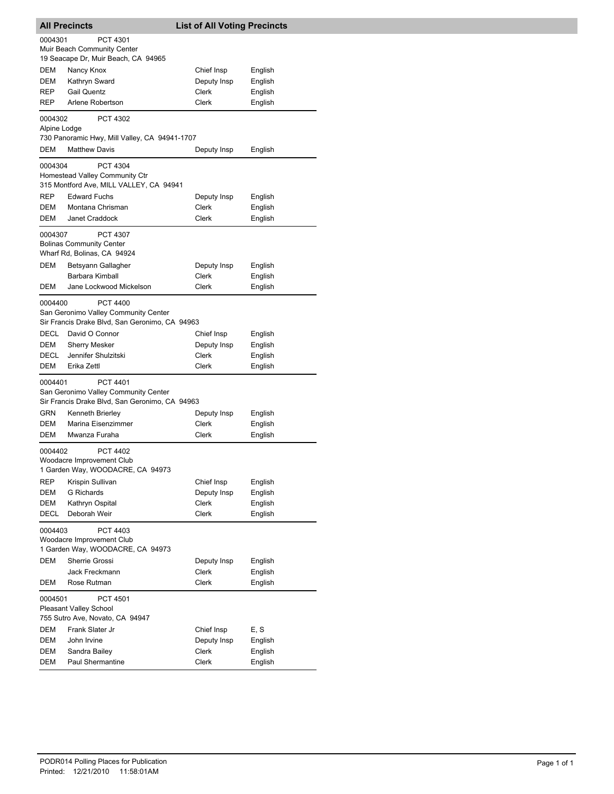| <b>All Precincts</b>                                                                        |                                                                                                           | <b>List of All Voting Precincts</b> |         |  |
|---------------------------------------------------------------------------------------------|-----------------------------------------------------------------------------------------------------------|-------------------------------------|---------|--|
| 0004301                                                                                     | PCT 4301<br>Muir Beach Community Center<br>19 Seacape Dr, Muir Beach, CA 94965                            |                                     |         |  |
| DEM                                                                                         | Nancy Knox                                                                                                | Chief Insp                          | English |  |
| <b>DEM</b>                                                                                  | Kathryn Sward                                                                                             | Deputy Insp                         | English |  |
| <b>REP</b>                                                                                  | <b>Gail Quentz</b>                                                                                        | Clerk                               | English |  |
| REP                                                                                         | Arlene Robertson                                                                                          | Clerk                               | English |  |
| 0004302<br>Alpine Lodge                                                                     | PCT 4302<br>730 Panoramic Hwy, Mill Valley, CA 94941-1707                                                 |                                     |         |  |
| DEM                                                                                         | <b>Matthew Davis</b>                                                                                      | Deputy Insp                         | English |  |
| 0004304                                                                                     | PCT 4304<br>Homestead Valley Community Ctr<br>315 Montford Ave, MILL VALLEY, CA 94941                     |                                     |         |  |
| <b>REP</b>                                                                                  | <b>Edward Fuchs</b>                                                                                       | Deputy Insp                         | English |  |
| DEM                                                                                         | Montana Chrisman                                                                                          | Clerk                               | English |  |
| <b>DEM</b>                                                                                  | Janet Craddock                                                                                            | Clerk                               | English |  |
| 0004307                                                                                     | PCT 4307<br><b>Bolinas Community Center</b><br>Wharf Rd, Bolinas, CA 94924                                |                                     |         |  |
| DEM                                                                                         | Betsyann Gallagher                                                                                        | Deputy Insp                         | English |  |
|                                                                                             | Barbara Kimball                                                                                           | Clerk                               | English |  |
| DEM                                                                                         | Jane Lockwood Mickelson                                                                                   | Clerk                               | English |  |
| 0004400                                                                                     | <b>PCT 4400</b><br>San Geronimo Valley Community Center<br>Sir Francis Drake Blvd, San Geronimo, CA 94963 |                                     |         |  |
| <b>DECL</b>                                                                                 | David O Connor                                                                                            | Chief Insp                          | English |  |
| DEM                                                                                         | <b>Sherry Mesker</b>                                                                                      | Deputy Insp                         | English |  |
| DECL                                                                                        | Jennifer Shulzitski                                                                                       | Clerk                               | English |  |
| DEM                                                                                         | Erika Zettl                                                                                               | Clerk                               | English |  |
| 0004401                                                                                     | PCT 4401<br>San Geronimo Valley Community Center<br>Sir Francis Drake Blvd, San Geronimo, CA 94963        |                                     |         |  |
| GRN                                                                                         | Kenneth Brierley                                                                                          | Deputy Insp                         | English |  |
| DEM                                                                                         | Marina Eisenzimmer                                                                                        | Clerk                               | English |  |
| DEM                                                                                         | Mwanza Furaha                                                                                             | Clerk                               | English |  |
| <b>PCT 4402</b><br>0004402<br>Woodacre Improvement Club<br>1 Garden Way, WOODACRE, CA 94973 |                                                                                                           |                                     |         |  |
| REP                                                                                         | Krispin Sullivan                                                                                          | Chief Insp                          | English |  |
| DEM                                                                                         | <b>G</b> Richards                                                                                         | Deputy Insp                         | English |  |
| DEM                                                                                         | Kathryn Ospital                                                                                           | Clerk                               | English |  |
| DECL                                                                                        | Deborah Weir                                                                                              | Clerk                               | English |  |
| 0004403<br>PCT 4403<br>Woodacre Improvement Club<br>1 Garden Way, WOODACRE, CA 94973        |                                                                                                           |                                     |         |  |
| DEM                                                                                         | Sherrie Grossi                                                                                            | Deputy Insp                         | English |  |
|                                                                                             | Jack Freckmann                                                                                            | Clerk                               | English |  |
| DEM                                                                                         | Rose Rutman                                                                                               | Clerk                               | English |  |
| 0004501                                                                                     | PCT 4501<br>Pleasant Valley School<br>755 Sutro Ave, Novato, CA 94947                                     |                                     |         |  |
| DEM                                                                                         | Frank Slater Jr                                                                                           | Chief Insp                          | E, S    |  |
| DEM                                                                                         | John Irvine                                                                                               | Deputy Insp                         | English |  |
| DEM                                                                                         | Sandra Bailey                                                                                             | Clerk                               | English |  |
| DEM                                                                                         | Paul Shermantine                                                                                          | Clerk                               | English |  |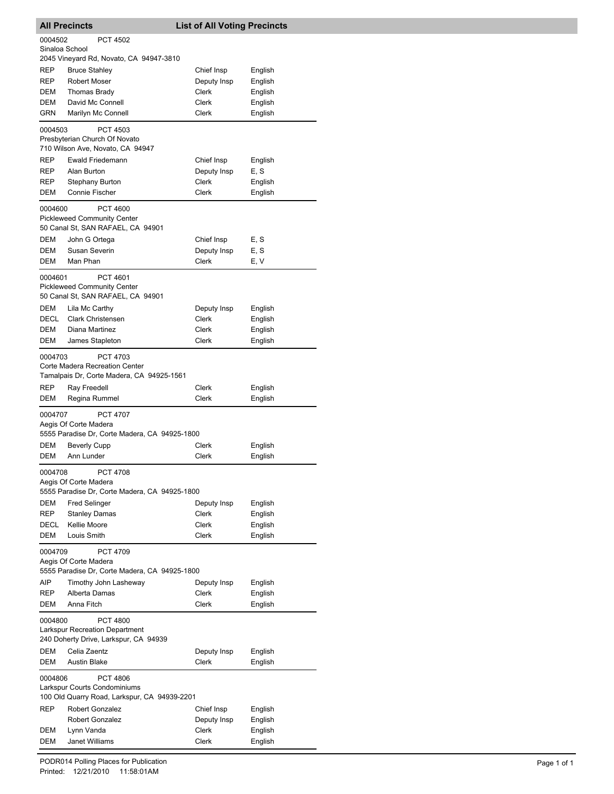|                   | <b>All Precincts</b>                                                                              | <b>List of All Voting Precincts</b> |                    |
|-------------------|---------------------------------------------------------------------------------------------------|-------------------------------------|--------------------|
| 0004502           | <b>PCT 4502</b>                                                                                   |                                     |                    |
| Sinaloa School    |                                                                                                   |                                     |                    |
| REP               | 2045 Vineyard Rd, Novato, CA 94947-3810<br><b>Bruce Stahley</b>                                   | Chief Insp                          | English            |
| REP               | <b>Robert Moser</b>                                                                               | Deputy Insp                         | English            |
| DEM               | Thomas Brady                                                                                      | Clerk                               | English            |
| <b>DEM</b>        | David Mc Connell                                                                                  | Clerk                               | English            |
| GRN               | Marilyn Mc Connell                                                                                | Clerk                               | English            |
| 0004503           | PCT 4503                                                                                          |                                     |                    |
|                   | Presbyterian Church Of Novato                                                                     |                                     |                    |
|                   | 710 Wilson Ave, Novato, CA 94947                                                                  |                                     |                    |
| <b>REP</b>        | Ewald Friedemann                                                                                  | Chief Insp                          | English            |
| REP               | Alan Burton                                                                                       | Deputy Insp                         | E, S               |
| REP<br><b>DEM</b> | Stephany Burton<br><b>Connie Fischer</b>                                                          | <b>Clerk</b><br>Clerk               | English            |
|                   |                                                                                                   |                                     | English            |
| 0004600           | <b>PCT 4600</b>                                                                                   |                                     |                    |
|                   | <b>Pickleweed Community Center</b><br>50 Canal St, SAN RAFAEL, CA 94901                           |                                     |                    |
| DEM               | John G Ortega                                                                                     | Chief Insp                          | E, S               |
| DEM               | Susan Severin                                                                                     | Deputy Insp                         | E, S               |
| DEM               | Man Phan                                                                                          | Clerk                               | E, V               |
| 0004601           | <b>PCT 4601</b>                                                                                   |                                     |                    |
|                   | <b>Pickleweed Community Center</b>                                                                |                                     |                    |
|                   | 50 Canal St, SAN RAFAEL, CA 94901                                                                 |                                     |                    |
| DEM               | Lila Mc Carthy                                                                                    | Deputy Insp                         | English            |
| <b>DECL</b>       | <b>Clark Christensen</b>                                                                          | Clerk                               | English            |
| DEM               | Diana Martinez                                                                                    | Clerk                               | English            |
| DEM               | James Stapleton                                                                                   | Clerk                               | English            |
| 0004703           | <b>PCT 4703</b>                                                                                   |                                     |                    |
|                   | Corte Madera Recreation Center                                                                    |                                     |                    |
|                   | Tamalpais Dr, Corte Madera, CA 94925-1561                                                         |                                     |                    |
|                   |                                                                                                   |                                     |                    |
| REP               | Ray Freedell                                                                                      | Clerk                               | English            |
| DEM               | Regina Rummel                                                                                     | Clerk                               | English            |
| 0004707           | <b>PCT 4707</b>                                                                                   |                                     |                    |
|                   | Aegis Of Corte Madera<br>5555 Paradise Dr, Corte Madera, CA 94925-1800                            |                                     |                    |
| DEM               | <b>Beverly Cupp</b>                                                                               | Clerk                               | English            |
| <b>DEM</b>        | Ann Lunder                                                                                        | Clerk                               | English            |
|                   |                                                                                                   |                                     |                    |
| 0004708           | PCT 4708<br>Aegis Of Corte Madera                                                                 |                                     |                    |
|                   | 5555 Paradise Dr, Corte Madera, CA 94925-1800                                                     |                                     |                    |
| <b>DEM</b>        | <b>Fred Selinger</b>                                                                              | Deputy Insp                         | English            |
| REP               | <b>Stanley Damas</b>                                                                              | Clerk                               | English            |
| DECL              | Kellie Moore                                                                                      | Clerk                               | English            |
| DEM               | Louis Smith                                                                                       | Clerk                               | English            |
| 0004709           | <b>PCT 4709</b>                                                                                   |                                     |                    |
|                   | Aegis Of Corte Madera                                                                             |                                     |                    |
|                   | 5555 Paradise Dr, Corte Madera, CA 94925-1800                                                     |                                     |                    |
| AIP               | Timothy John Lasheway<br>Alberta Damas                                                            | Deputy Insp                         | English            |
| REP<br>DEM        | Anna Fitch                                                                                        | Clerk<br>Clerk                      | English<br>English |
|                   |                                                                                                   |                                     |                    |
| 0004800           | <b>PCT 4800</b><br><b>Larkspur Recreation Department</b><br>240 Doherty Drive, Larkspur, CA 94939 |                                     |                    |
| DEM               | Celia Zaentz                                                                                      | Deputy Insp                         | English            |
| DEM               | <b>Austin Blake</b>                                                                               | Clerk                               | English            |
| 0004806           | <b>PCT 4806</b>                                                                                   |                                     |                    |
|                   | Larkspur Courts Condominiums                                                                      |                                     |                    |
|                   | 100 Old Quarry Road, Larkspur, CA 94939-2201                                                      |                                     |                    |
| REP               | Robert Gonzalez                                                                                   | Chief Insp                          | English            |
| DEM               | Robert Gonzalez<br>Lynn Vanda                                                                     | Deputy Insp<br>Clerk                | English<br>English |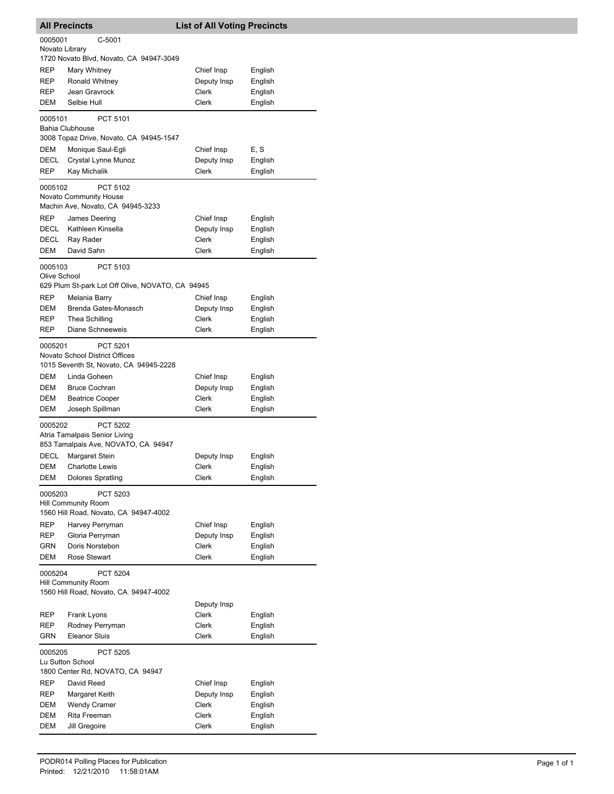|                                                   | <b>All Precincts</b>                                                                       |                                                                                      |  | <b>List of All Voting Precincts</b> |                    |  |
|---------------------------------------------------|--------------------------------------------------------------------------------------------|--------------------------------------------------------------------------------------|--|-------------------------------------|--------------------|--|
| 0005001<br>C-5001<br>Novato Library               |                                                                                            |                                                                                      |  |                                     |                    |  |
|                                                   |                                                                                            | 1720 Novato Blvd, Novato, CA 94947-3049                                              |  |                                     |                    |  |
| REP                                               | Mary Whitney                                                                               |                                                                                      |  | Chief Insp                          | English            |  |
| <b>REP</b>                                        | Ronald Whitney                                                                             |                                                                                      |  | Deputy Insp                         | English            |  |
| REP                                               | Jean Gravrock                                                                              |                                                                                      |  | Clerk                               | English            |  |
| DEM                                               | Selbie Hull                                                                                |                                                                                      |  | Clerk                               | English            |  |
| 0005101                                           | <b>Bahia Clubhouse</b>                                                                     | PCT 5101<br>3008 Topaz Drive, Novato, CA 94945-1547                                  |  |                                     |                    |  |
| DEM                                               |                                                                                            | Monique Saul-Eqli                                                                    |  | Chief Insp                          | E, S               |  |
| <b>DECL</b>                                       |                                                                                            | Crystal Lynne Munoz                                                                  |  | Deputy Insp                         | English            |  |
| REP                                               | Kay Michalik                                                                               |                                                                                      |  | Clerk                               | English            |  |
| 0005102                                           |                                                                                            | PCT 5102                                                                             |  |                                     |                    |  |
|                                                   | <b>Novato Community House</b>                                                              |                                                                                      |  |                                     |                    |  |
| <b>REP</b>                                        |                                                                                            | Machin Ave, Novato, CA 94945-3233                                                    |  |                                     |                    |  |
| DECL                                              | James Deering<br>Kathleen Kinsella                                                         |                                                                                      |  | Chief Insp<br>Deputy Insp           | English<br>English |  |
| DECL                                              | Ray Rader                                                                                  |                                                                                      |  | Clerk                               | English            |  |
| DEM                                               | David Sahn                                                                                 |                                                                                      |  | Clerk                               | English            |  |
|                                                   |                                                                                            |                                                                                      |  |                                     |                    |  |
| 0005103<br>Olive School                           |                                                                                            | PCT 5103<br>629 Plum St-park Lot Off Olive, NOVATO, CA 94945                         |  |                                     |                    |  |
| REP                                               | Melania Barry                                                                              |                                                                                      |  | Chief Insp                          | English            |  |
| DEM                                               |                                                                                            | Brenda Gates-Monasch                                                                 |  | Deputy Insp                         | English            |  |
| REP                                               | Thea Schilling                                                                             |                                                                                      |  | Clerk                               | English            |  |
| REP                                               |                                                                                            | Diane Schneeweis                                                                     |  | Clerk                               | English            |  |
| 0005201                                           |                                                                                            | PCT 5201<br>Novato School District Offices<br>1015 Seventh St, Novato, CA 94945-2228 |  |                                     |                    |  |
| DEM                                               | Linda Goheen                                                                               |                                                                                      |  | Chief Insp                          | English            |  |
| DEM                                               | <b>Bruce Cochran</b>                                                                       |                                                                                      |  | Deputy Insp                         | English            |  |
| DEM                                               | <b>Beatrice Cooper</b>                                                                     |                                                                                      |  | Clerk                               | English            |  |
| DEM                                               | Joseph Spillman                                                                            |                                                                                      |  | Clerk                               | English            |  |
| 0005202                                           |                                                                                            | PCT 5202<br>Atria Tamalpais Senior Living<br>853 Tamalpais Ave, NOVATO, CA 94947     |  |                                     |                    |  |
| DECL                                              | Margaret Stein                                                                             |                                                                                      |  | Deputy Insp                         | English            |  |
| DEM                                               | <b>Charlotte Lewis</b>                                                                     |                                                                                      |  | Clerk                               | English            |  |
| DEM                                               | <b>Dolores Spratling</b>                                                                   |                                                                                      |  | Clerk                               | English            |  |
|                                                   | 0005203<br>PCT 5203<br><b>Hill Community Room</b><br>1560 Hill Road, Novato, CA 94947-4002 |                                                                                      |  |                                     |                    |  |
| REP                                               | Harvey Perryman                                                                            |                                                                                      |  | Chief Insp                          | English            |  |
| REP                                               | Gloria Perryman                                                                            |                                                                                      |  | Deputy Insp                         | English            |  |
| GRN                                               | Doris Norstebon                                                                            |                                                                                      |  | Clerk                               | English            |  |
| DEM                                               | Rose Stewart                                                                               |                                                                                      |  | Clerk                               | English            |  |
| PCT 5204<br>0005204<br><b>Hill Community Room</b> |                                                                                            |                                                                                      |  |                                     |                    |  |
|                                                   |                                                                                            | 1560 Hill Road, Novato, CA 94947-4002                                                |  |                                     |                    |  |
|                                                   |                                                                                            |                                                                                      |  | Deputy Insp                         |                    |  |
| <b>REP</b>                                        | Frank Lyons                                                                                |                                                                                      |  | Clerk<br>Clerk                      | English            |  |
| REP<br>GRN                                        | <b>Eleanor Sluis</b>                                                                       | Rodney Perryman                                                                      |  | Clerk                               | English<br>English |  |
| 0005205                                           | Lu Sutton School                                                                           | <b>PCT 5205</b>                                                                      |  |                                     |                    |  |
|                                                   |                                                                                            | 1800 Center Rd, NOVATO, CA 94947                                                     |  |                                     |                    |  |
| REP                                               | David Reed                                                                                 |                                                                                      |  | Chief Insp                          | English            |  |
| REP                                               | Margaret Keith                                                                             |                                                                                      |  | Deputy Insp                         | English            |  |
| DEM                                               | <b>Wendy Cramer</b>                                                                        |                                                                                      |  | Clerk                               | English            |  |
| DEM                                               | Rita Freeman                                                                               |                                                                                      |  | Clerk                               | English            |  |
| DEM                                               | Jill Gregoire                                                                              |                                                                                      |  | Clerk                               | English            |  |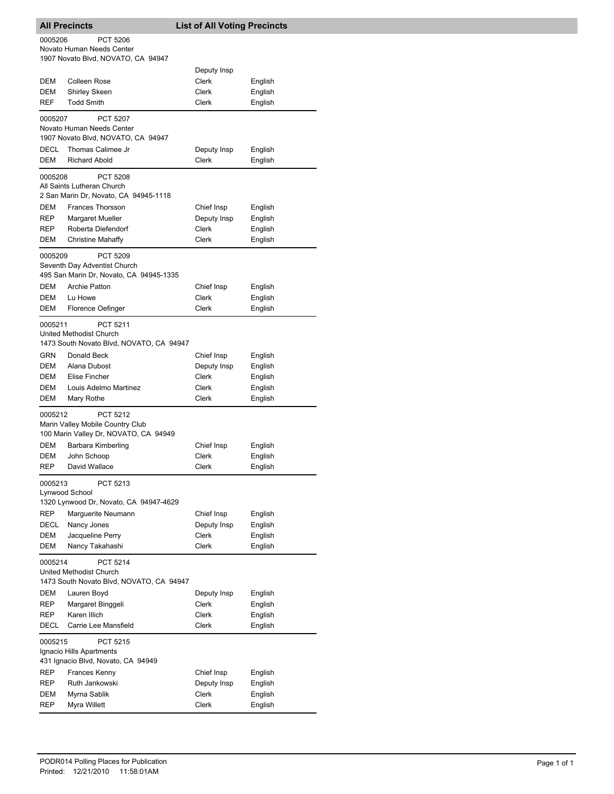|                                                                                               | <b>All Precincts</b>                                                                   | <b>List of All Voting Precincts</b> |         |  |  |
|-----------------------------------------------------------------------------------------------|----------------------------------------------------------------------------------------|-------------------------------------|---------|--|--|
| 0005206<br><b>PCT 5206</b><br>Novato Human Needs Center<br>1907 Novato Blvd, NOVATO, CA 94947 |                                                                                        |                                     |         |  |  |
|                                                                                               |                                                                                        | Deputy Insp                         |         |  |  |
| DEM                                                                                           | Colleen Rose                                                                           | Clerk                               | English |  |  |
| DEM                                                                                           | <b>Shirley Skeen</b>                                                                   | Clerk                               | English |  |  |
|                                                                                               |                                                                                        |                                     |         |  |  |
| <b>REF</b>                                                                                    | <b>Todd Smith</b>                                                                      | Clerk                               | English |  |  |
| 0005207                                                                                       | <b>PCT 5207</b><br>Novato Human Needs Center<br>1907 Novato Blvd, NOVATO, CA 94947     |                                     |         |  |  |
| DECL                                                                                          | Thomas Calimee Jr                                                                      | Deputy Insp                         | English |  |  |
| <b>DEM</b>                                                                                    | <b>Richard Abold</b>                                                                   | <b>Clerk</b>                        | English |  |  |
| 0005208                                                                                       | <b>PCT 5208</b><br>All Saints Lutheran Church<br>2 San Marin Dr, Novato, CA 94945-1118 |                                     |         |  |  |
| DEM                                                                                           | Frances Thorsson                                                                       | Chief Insp                          | English |  |  |
| REP                                                                                           | Margaret Mueller                                                                       | Deputy Insp                         | English |  |  |
| <b>REP</b>                                                                                    | Roberta Diefendorf                                                                     | Clerk                               | English |  |  |
| DEM                                                                                           | <b>Christine Mahaffy</b>                                                               | Clerk                               | English |  |  |
| 0005209                                                                                       | PCT 5209<br>Seventh Day Adventist Church<br>495 San Marin Dr, Novato, CA 94945-1335    |                                     |         |  |  |
| DEM                                                                                           | <b>Archie Patton</b>                                                                   | Chief Insp                          | English |  |  |
| <b>DEM</b>                                                                                    | Lu Howe                                                                                | Clerk                               | English |  |  |
| DEM                                                                                           | Florence Oefinger                                                                      | Clerk                               | English |  |  |
| 0005211                                                                                       | PCT 5211<br>United Methodist Church<br>1473 South Novato Blvd, NOVATO, CA 94947        |                                     |         |  |  |
| GRN                                                                                           | Donald Beck                                                                            | Chief Insp                          | English |  |  |
| DEM                                                                                           | Alana Dubost                                                                           | Deputy Insp                         | English |  |  |
| DEM                                                                                           | Elise Fincher                                                                          | Clerk                               | English |  |  |
| DEM                                                                                           | Louis Adelmo Martinez                                                                  | Clerk                               | English |  |  |
| DEM                                                                                           | Mary Rothe                                                                             | Clerk                               | English |  |  |
| 0005212                                                                                       | PCT 5212<br>Marin Valley Mobile Country Club<br>100 Marin Valley Dr, NOVATO, CA 94949  |                                     |         |  |  |
| DEM                                                                                           | Barbara Kimberling                                                                     | Chief Insp                          | English |  |  |
| DEM                                                                                           | John Schoop                                                                            | Clerk                               | English |  |  |
| REP                                                                                           | David Wallace                                                                          | Clerk                               | English |  |  |
| PCT 5213<br>0005213<br>Lynwood School<br>1320 Lynwood Dr, Novato, CA 94947-4629               |                                                                                        |                                     |         |  |  |
| REP                                                                                           | Marguerite Neumann                                                                     | Chief Insp                          | English |  |  |
| DECL                                                                                          | Nancy Jones                                                                            | Deputy Insp                         | English |  |  |
| DEM                                                                                           | Jacqueline Perry                                                                       | <b>Clerk</b>                        | English |  |  |
| DEM                                                                                           | Nancy Takahashi                                                                        | Clerk                               | English |  |  |
| 0005214<br>PCT 5214<br>United Methodist Church<br>1473 South Novato Blvd, NOVATO, CA 94947    |                                                                                        |                                     |         |  |  |
| DEM                                                                                           | Lauren Boyd                                                                            | Deputy Insp                         | English |  |  |
| REP                                                                                           | Margaret Binggeli                                                                      | Clerk                               | English |  |  |
| REP                                                                                           | Karen Illich                                                                           | Clerk                               | English |  |  |
| DECL                                                                                          | Carrie Lee Mansfield                                                                   | Clerk                               | English |  |  |
| 0005215                                                                                       | PCT 5215<br>Ignacio Hills Apartments                                                   |                                     |         |  |  |
|                                                                                               | 431 Ignacio Blvd, Novato, CA 94949                                                     |                                     |         |  |  |
| REP                                                                                           | Frances Kenny                                                                          | Chief Insp                          | English |  |  |
| REP                                                                                           | Ruth Jankowski                                                                         | Deputy Insp                         | English |  |  |
| DEM                                                                                           | Myrna Sablik                                                                           | Clerk                               | English |  |  |
| REP                                                                                           | Myra Willett                                                                           | Clerk                               | English |  |  |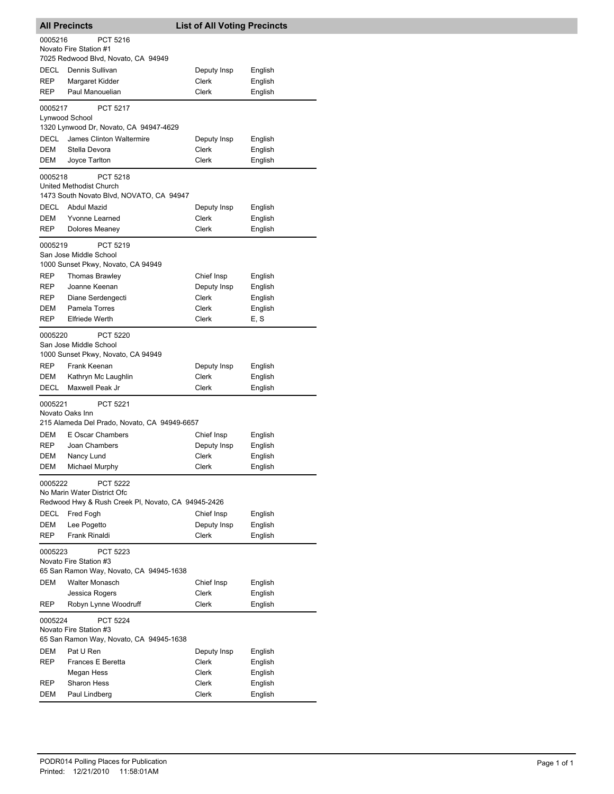|                                                                                                                 | <b>All Precincts</b>                                                                   | <b>List of All Voting Precincts</b> |                               |  |  |
|-----------------------------------------------------------------------------------------------------------------|----------------------------------------------------------------------------------------|-------------------------------------|-------------------------------|--|--|
| PCT 5216<br>0005216<br>Novato Fire Station #1<br>7025 Redwood Blvd, Novato, CA 94949                            |                                                                                        |                                     |                               |  |  |
| DECL<br>REP                                                                                                     | Dennis Sullivan<br>Margaret Kidder                                                     | Deputy Insp<br>Clerk                | English<br>English            |  |  |
| REP                                                                                                             | Paul Manouelian                                                                        | Clerk                               | English                       |  |  |
| 0005217                                                                                                         | <b>PCT 5217</b><br>Lynwood School<br>1320 Lynwood Dr, Novato, CA 94947-4629            |                                     |                               |  |  |
| DECL<br>DEM<br>DEM                                                                                              | James Clinton Waltermire<br>Stella Devora<br>Joyce Tarlton                             | Deputy Insp<br>Clerk<br>Clerk       | English<br>English<br>English |  |  |
| 0005218                                                                                                         | <b>PCT 5218</b><br>United Methodist Church<br>1473 South Novato Blvd, NOVATO, CA 94947 |                                     |                               |  |  |
| DECL                                                                                                            | Abdul Mazid                                                                            | Deputy Insp                         | English                       |  |  |
| DEM                                                                                                             | <b>Yvonne Learned</b>                                                                  | Clerk                               | English                       |  |  |
| REP                                                                                                             | Dolores Meaney                                                                         | Clerk                               | English                       |  |  |
| 0005219                                                                                                         | PCT 5219<br>San Jose Middle School<br>1000 Sunset Pkwy, Novato, CA 94949               |                                     |                               |  |  |
| REP                                                                                                             | <b>Thomas Brawley</b>                                                                  | Chief Insp                          | English                       |  |  |
| REP<br>REP                                                                                                      | Joanne Keenan<br>Diane Serdengecti                                                     | Deputy Insp<br>Clerk                | English<br>English            |  |  |
| DEM                                                                                                             | Pamela Torres                                                                          | Clerk                               | English                       |  |  |
| REP                                                                                                             | <b>Elfriede Werth</b>                                                                  | Clerk                               | E, S                          |  |  |
| 0005220                                                                                                         | PCT 5220<br>San Jose Middle School<br>1000 Sunset Pkwy, Novato, CA 94949               |                                     |                               |  |  |
| <b>REP</b>                                                                                                      | Frank Keenan                                                                           | Deputy Insp                         | English                       |  |  |
| DEM                                                                                                             | Kathryn Mc Laughlin                                                                    | Clerk                               | English                       |  |  |
| DECL                                                                                                            | Maxwell Peak Jr                                                                        | Clerk                               | English                       |  |  |
| 0005221                                                                                                         | <b>PCT 5221</b><br>Novato Oaks Inn<br>215 Alameda Del Prado, Novato, CA 94949-6657     |                                     |                               |  |  |
| DEM                                                                                                             | E Oscar Chambers                                                                       | Chief Insp                          | English                       |  |  |
| REP                                                                                                             | Joan Chambers                                                                          | Deputy Insp                         | English                       |  |  |
| DEM                                                                                                             | Nancy Lund                                                                             | Clerk                               | English                       |  |  |
| DEM                                                                                                             | <b>Michael Murphy</b>                                                                  | Clerk                               | English                       |  |  |
| 0005222<br><b>PCT 5222</b><br>No Marin Water District Ofc<br>Redwood Hwy & Rush Creek PI, Novato, CA 94945-2426 |                                                                                        |                                     |                               |  |  |
| DECL                                                                                                            | Fred Fogh                                                                              | Chief Insp                          | English                       |  |  |
| DEM                                                                                                             | Lee Pogetto                                                                            | Deputy Insp<br><b>Clerk</b>         | English                       |  |  |
| REP<br>Frank Rinaldi<br>English<br>PCT 5223<br>0005223<br>Novato Fire Station #3                                |                                                                                        |                                     |                               |  |  |
|                                                                                                                 | 65 San Ramon Way, Novato, CA 94945-1638                                                |                                     |                               |  |  |
| <b>DEM</b>                                                                                                      | Walter Monasch                                                                         | Chief Insp                          | English                       |  |  |
| REP                                                                                                             | Jessica Rogers<br>Robyn Lynne Woodruff                                                 | Clerk<br>Clerk                      | English<br>English            |  |  |
| 0005224<br><b>PCT 5224</b><br>Novato Fire Station #3<br>65 San Ramon Way, Novato, CA 94945-1638                 |                                                                                        |                                     |                               |  |  |
| <b>DEM</b>                                                                                                      | Pat U Ren                                                                              | Deputy Insp                         | English                       |  |  |
| REP                                                                                                             | Frances E Beretta                                                                      | Clerk                               | English                       |  |  |
|                                                                                                                 | Megan Hess                                                                             | Clerk                               | English                       |  |  |
| REP<br>DEM                                                                                                      | <b>Sharon Hess</b><br>Paul Lindberg                                                    | Clerk<br>Clerk                      | English<br>English            |  |  |
|                                                                                                                 |                                                                                        |                                     |                               |  |  |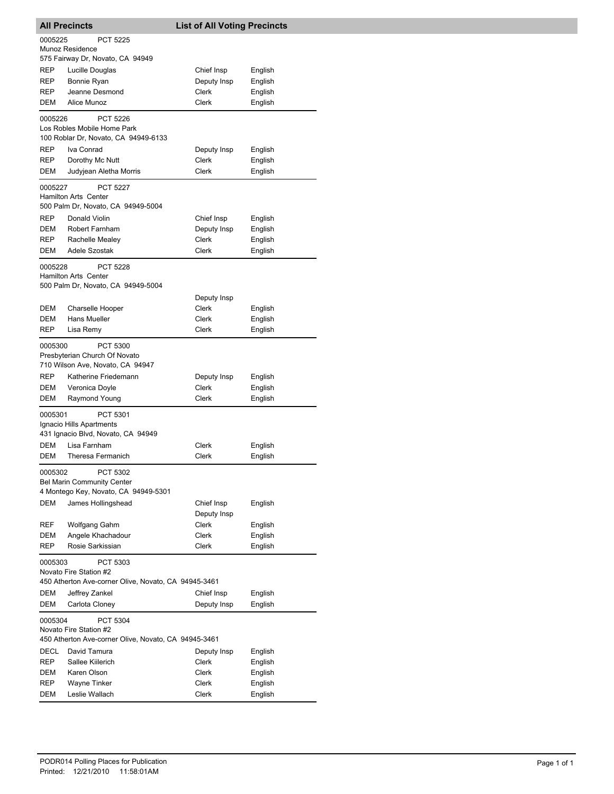| <b>All Precincts</b> |                                                                   | <b>List of All Voting Precincts</b> |         |  |
|----------------------|-------------------------------------------------------------------|-------------------------------------|---------|--|
| 0005225              | PCT 5225                                                          |                                     |         |  |
|                      | Munoz Residence                                                   |                                     |         |  |
|                      | 575 Fairway Dr, Novato, CA 94949                                  |                                     |         |  |
| REP                  | Lucille Douglas                                                   | Chief Insp                          | English |  |
| <b>REP</b>           | Bonnie Ryan                                                       | Deputy Insp                         | English |  |
| REP                  | Jeanne Desmond                                                    | Clerk                               | English |  |
| DEM                  | Alice Munoz                                                       | <b>Clerk</b>                        | English |  |
| 0005226              | <b>PCT 5226</b><br>Los Robles Mobile Home Park                    |                                     |         |  |
|                      | 100 Roblar Dr, Novato, CA 94949-6133                              |                                     |         |  |
| REP                  | Iva Conrad                                                        | Deputy Insp                         | English |  |
| REP                  | Dorothy Mc Nutt                                                   | Clerk                               | English |  |
| DEM                  | Judyjean Aletha Morris                                            | Clerk                               | English |  |
|                      |                                                                   |                                     |         |  |
| 0005227              | <b>PCT 5227</b>                                                   |                                     |         |  |
|                      | Hamilton Arts Center<br>500 Palm Dr, Novato, CA 94949-5004        |                                     |         |  |
| <b>REP</b>           | Donald Violin                                                     | Chief Insp                          | English |  |
| <b>DEM</b>           | Robert Farnham                                                    | Deputy Insp                         | English |  |
| REP.                 | Rachelle Mealey                                                   | Clerk                               | English |  |
| DEM                  | Adele Szostak                                                     | Clerk                               | English |  |
|                      |                                                                   |                                     |         |  |
| 0005228              | <b>PCT 5228</b>                                                   |                                     |         |  |
|                      | <b>Hamilton Arts Center</b><br>500 Palm Dr, Novato, CA 94949-5004 |                                     |         |  |
|                      |                                                                   |                                     |         |  |
|                      |                                                                   | Deputy Insp                         |         |  |
| DEM                  | Charselle Hooper                                                  | Clerk                               | English |  |
| DEM                  | Hans Mueller                                                      | Clerk                               | English |  |
| <b>REP</b>           | Lisa Remy                                                         | Clerk                               | English |  |
| 0005300              | <b>PCT 5300</b>                                                   |                                     |         |  |
|                      | Presbyterian Church Of Novato                                     |                                     |         |  |
|                      | 710 Wilson Ave, Novato, CA 94947                                  |                                     |         |  |
| REP                  | Katherine Friedemann                                              | Deputy Insp                         | English |  |
| DEM                  | Veronica Doyle                                                    | Clerk                               | English |  |
| DEM                  | Raymond Young                                                     | Clerk                               | English |  |
| 0005301              | PCT 5301                                                          |                                     |         |  |
|                      | Ignacio Hills Apartments                                          |                                     |         |  |
|                      | 431 Ignacio Blvd, Novato, CA 94949                                |                                     |         |  |
| DEM                  | Lisa Farnham                                                      | Clerk                               | English |  |
| <b>DEM</b>           | Theresa Fermanich                                                 | Clerk                               | English |  |
| 0005302              | PCT 5302                                                          |                                     |         |  |
|                      | <b>Bel Marin Community Center</b>                                 |                                     |         |  |
|                      | 4 Montego Key, Novato, CA 94949-5301                              |                                     |         |  |
| DEM                  | James Hollingshead                                                | Chief Insp                          | English |  |
|                      |                                                                   | Deputy Insp                         |         |  |
| REF                  | Wolfgang Gahm                                                     | Clerk                               | English |  |
| DEM                  | Angele Khachadour                                                 | Clerk                               | English |  |
| REP                  | Rosie Sarkissian                                                  | Clerk                               | English |  |
| 0005303              | PCT 5303                                                          |                                     |         |  |
|                      | Novato Fire Station #2                                            |                                     |         |  |
|                      | 450 Atherton Ave-corner Olive, Novato, CA 94945-3461              |                                     |         |  |
| DEM                  | Jeffrey Zankel                                                    | Chief Insp                          | English |  |
| DEM                  | Carlota Cloney                                                    | Deputy Insp                         | English |  |
| 0005304              | PCT 5304                                                          |                                     |         |  |
|                      | Novato Fire Station #2                                            |                                     |         |  |
|                      | 450 Atherton Ave-corner Olive, Novato, CA 94945-3461              |                                     |         |  |
| DECL                 | David Tamura                                                      | Deputy Insp                         | English |  |
| REP                  | Sallee Kiilerich                                                  | Clerk                               | English |  |
| DEM                  | Karen Olson                                                       | Clerk                               | English |  |
| REP                  | Wayne Tinker                                                      | Clerk                               | English |  |
| DEM                  | Leslie Wallach                                                    | Clerk                               | English |  |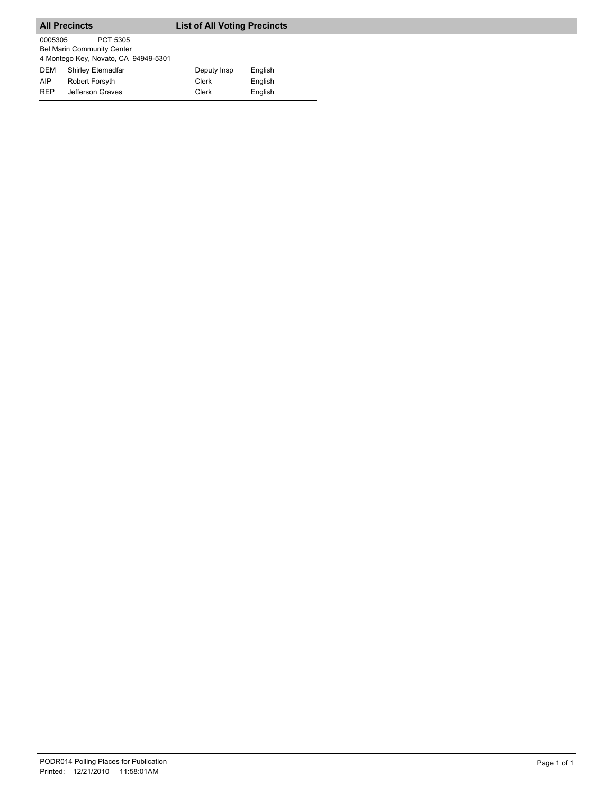|            | <b>All Precincts</b>                                                                  | <b>List of All Voting Precincts</b> |         |  |
|------------|---------------------------------------------------------------------------------------|-------------------------------------|---------|--|
| 0005305    | PCT 5305<br><b>Bel Marin Community Center</b><br>4 Montego Key, Novato, CA 94949-5301 |                                     |         |  |
| <b>DEM</b> | Shirley Etemadfar                                                                     | Deputy Insp                         | English |  |
| AIP        | <b>Robert Forsyth</b>                                                                 | Clerk                               | English |  |
| <b>RFP</b> | Jefferson Graves                                                                      | Clerk                               | English |  |